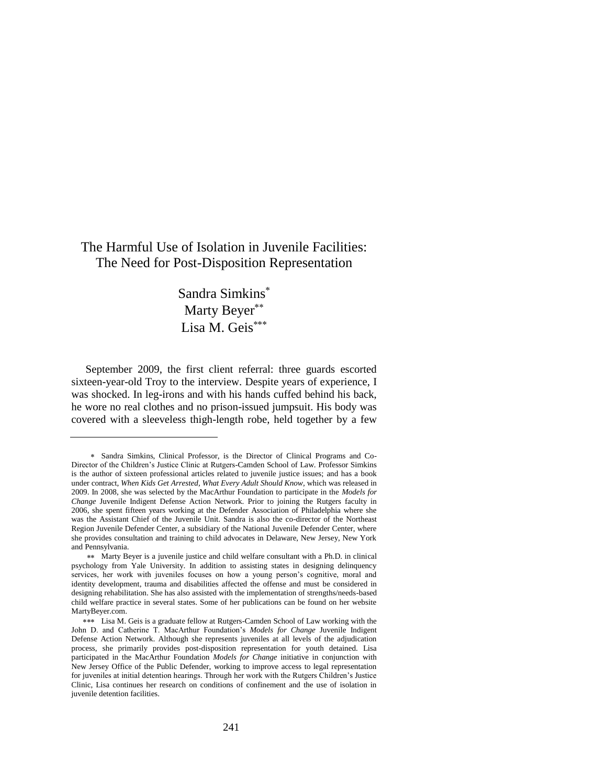# The Harmful Use of Isolation in Juvenile Facilities: The Need for Post-Disposition Representation

# Sandra Simkins Marty Beyer\*\* Lisa M. Geis\*\*\*

September 2009, the first client referral: three guards escorted sixteen-year-old Troy to the interview. Despite years of experience, I was shocked. In leg-irons and with his hands cuffed behind his back, he wore no real clothes and no prison-issued jumpsuit. His body was covered with a sleeveless thigh-length robe, held together by a few

Sandra Simkins, Clinical Professor, is the Director of Clinical Programs and Co-Director of the Children's Justice Clinic at Rutgers-Camden School of Law. Professor Simkins is the author of sixteen professional articles related to juvenile justice issues; and has a book under contract, *When Kids Get Arrested, What Every Adult Should Know,* which was released in 2009. In 2008, she was selected by the MacArthur Foundation to participate in the *Models for Change* Juvenile Indigent Defense Action Network. Prior to joining the Rutgers faculty in 2006, she spent fifteen years working at the Defender Association of Philadelphia where she was the Assistant Chief of the Juvenile Unit. Sandra is also the co-director of the Northeast Region Juvenile Defender Center, a subsidiary of the National Juvenile Defender Center, where she provides consultation and training to child advocates in Delaware, New Jersey, New York and Pennsylvania.

Marty Beyer is a juvenile justice and child welfare consultant with a Ph.D. in clinical psychology from Yale University. In addition to assisting states in designing delinquency services, her work with juveniles focuses on how a young person's cognitive, moral and identity development, trauma and disabilities affected the offense and must be considered in designing rehabilitation. She has also assisted with the implementation of strengths/needs-based child welfare practice in several states. Some of her publications can be found on her website MartyBeyer.com.

<sup>\*\*\*</sup> Lisa M. Geis is a graduate fellow at Rutgers-Camden School of Law working with the John D. and Catherine T. MacArthur Foundation's *Models for Change* Juvenile Indigent Defense Action Network. Although she represents juveniles at all levels of the adjudication process, she primarily provides post-disposition representation for youth detained. Lisa participated in the MacArthur Foundation *Models for Change* initiative in conjunction with New Jersey Office of the Public Defender, working to improve access to legal representation for juveniles at initial detention hearings. Through her work with the Rutgers Children's Justice Clinic, Lisa continues her research on conditions of confinement and the use of isolation in juvenile detention facilities.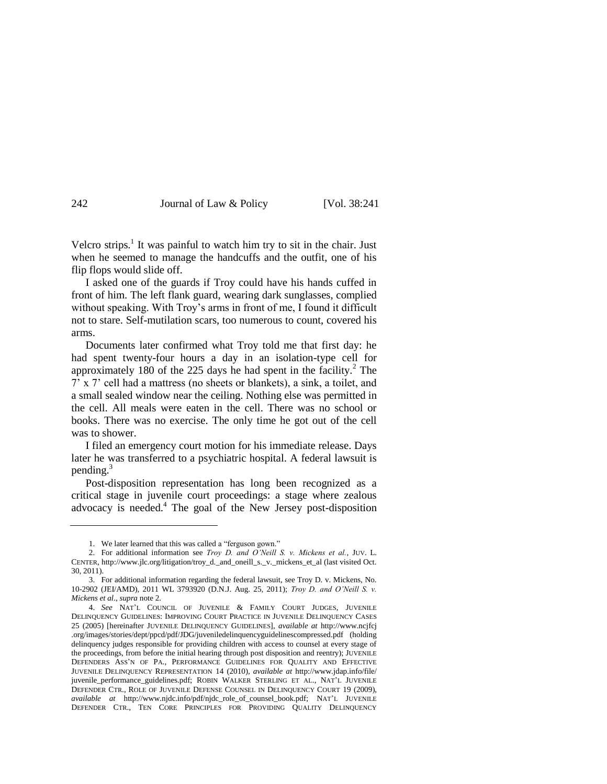<span id="page-1-0"></span>

Velcro strips.<sup>1</sup> It was painful to watch him try to sit in the chair. Just when he seemed to manage the handcuffs and the outfit, one of his flip flops would slide off.

I asked one of the guards if Troy could have his hands cuffed in front of him. The left flank guard, wearing dark sunglasses, complied without speaking. With Troy's arms in front of me, I found it difficult not to stare. Self-mutilation scars, too numerous to count, covered his arms.

Documents later confirmed what Troy told me that first day: he had spent twenty-four hours a day in an isolation-type cell for approximately 180 of the 225 days he had spent in the facility. $^2$  The 7' x 7' cell had a mattress (no sheets or blankets), a sink, a toilet, and a small sealed window near the ceiling. Nothing else was permitted in the cell. All meals were eaten in the cell. There was no school or books. There was no exercise. The only time he got out of the cell was to shower.

I filed an emergency court motion for his immediate release. Days later he was transferred to a psychiatric hospital. A federal lawsuit is pending.<sup>3</sup>

<span id="page-1-1"></span>Post-disposition representation has long been recognized as a critical stage in juvenile court proceedings: a stage where zealous advocacy is needed.<sup>4</sup> The goal of the New Jersey post-disposition

<sup>1.</sup> We later learned that this was called a "ferguson gown."

<sup>2.</sup> For additional information see *Troy D. and O'Neill S. v. Mickens et al.*, JUV. L. CENTER, http://www.jlc.org/litigation/troy\_d.\_and\_oneill\_s.\_v.\_mickens\_et\_al (last visited Oct. 30, 2011).

<sup>3.</sup> For additional information regarding the federal lawsuit, see Troy D. v. Mickens, No. 10-2902 (JEI/AMD), 2011 WL 3793920 (D.N.J. Aug. 25, 2011); *Troy D. and O'Neill S. v. Mickens et al*., *supra* not[e 2.](#page-1-0)

<sup>4.</sup> *See* NAT'L COUNCIL OF JUVENILE & FAMILY COURT JUDGES, JUVENILE DELINQUENCY GUIDELINES: IMPROVING COURT PRACTICE IN JUVENILE DELINQUENCY CASES 25 (2005) [hereinafter JUVENILE DELINQUENCY GUIDELINES], *available at* http://www.ncjfcj .org/images/stories/dept/ppcd/pdf/JDG/juveniledelinquencyguidelinescompressed.pdf (holding delinquency judges responsible for providing children with access to counsel at every stage of the proceedings, from before the initial hearing through post disposition and reentry); JUVENILE DEFENDERS ASS'N OF PA., PERFORMANCE GUIDELINES FOR QUALITY AND EFFECTIVE JUVENILE DELINQUENCY REPRESENTATION 14 (2010), *available at* http://www.jdap.info/file/ juvenile\_performance\_guidelines.pdf; ROBIN WALKER STERLING ET AL., NAT'L JUVENILE DEFENDER CTR., ROLE OF JUVENILE DEFENSE COUNSEL IN DELINQUENCY COURT 19 (2009), *available at* http://www.njdc.info/pdf/njdc\_role\_of\_counsel\_book.pdf; NAT'L JUVENILE DEFENDER CTR., TEN CORE PRINCIPLES FOR PROVIDING QUALITY DELINQUENCY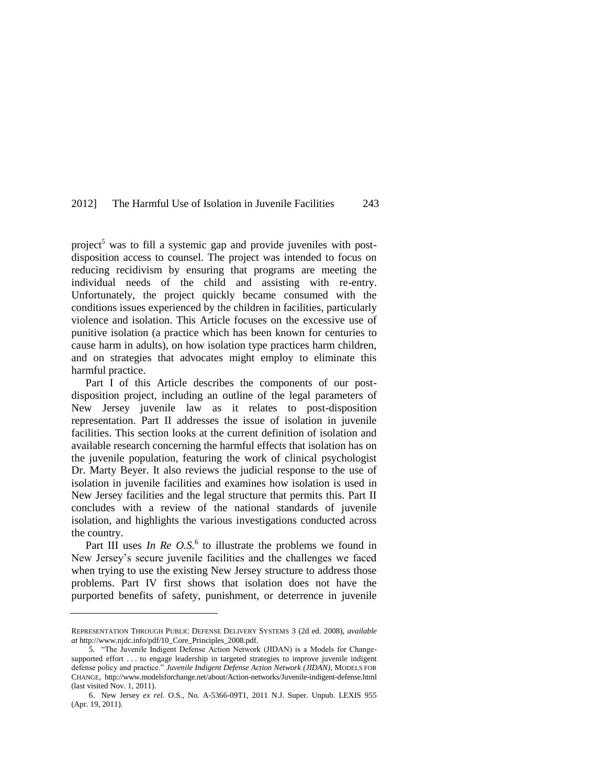project<sup>5</sup> was to fill a systemic gap and provide juveniles with postdisposition access to counsel. The project was intended to focus on reducing recidivism by ensuring that programs are meeting the individual needs of the child and assisting with re-entry. Unfortunately, the project quickly became consumed with the conditions issues experienced by the children in facilities, particularly violence and isolation. This Article focuses on the excessive use of punitive isolation (a practice which has been known for centuries to cause harm in adults), on how isolation type practices harm children, and on strategies that advocates might employ to eliminate this harmful practice.

Part I of this Article describes the components of our postdisposition project, including an outline of the legal parameters of New Jersey juvenile law as it relates to post-disposition representation. Part II addresses the issue of isolation in juvenile facilities. This section looks at the current definition of isolation and available research concerning the harmful effects that isolation has on the juvenile population, featuring the work of clinical psychologist Dr. Marty Beyer. It also reviews the judicial response to the use of isolation in juvenile facilities and examines how isolation is used in New Jersey facilities and the legal structure that permits this. Part II concludes with a review of the national standards of juvenile isolation, and highlights the various investigations conducted across the country.

Part III uses *In Re O.S.*<sup>6</sup> to illustrate the problems we found in New Jersey's secure juvenile facilities and the challenges we faced when trying to use the existing New Jersey structure to address those problems. Part IV first shows that isolation does not have the purported benefits of safety, punishment, or deterrence in juvenile

REPRESENTATION THROUGH PUBLIC DEFENSE DELIVERY SYSTEMS 3 (2d ed. 2008), *available at* http://www.njdc.info/pdf/10\_Core\_Principles\_2008.pdf.

<sup>5. &</sup>quot;The Juvenile Indigent Defense Action Network (JIDAN) is a Models for Changesupported effort . . . to engage leadership in targeted strategies to improve juvenile indigent defense policy and practice." Juvenile Indigent Defense Action Network (JIDAN), MODELS FOR CHANGE, http://www.modelsforchange.net/about/Action-networks/Juvenile-indigent-defense.html (last visited Nov. 1, 2011).

<sup>6.</sup> New Jersey *[ex rel.](http://www.lexis.com/research/buttonTFLink?_session=19ec04e0-3566-11e1-8cd9-f5b6dc85a543.1.1.84763.+.1.0&wchp=dGLbVzV-zSkAl&_b=0_1264507416&_xfercite=%3ccite%20cc%3d%22USA%22%3e%3c%21%5BCDATA%5B2011%20N.J.%20Super.%20Unpub.%20LEXIS%20955%5D%5D%3e%3c%2fcite%3e&_lexsee=SHMID&_lnlni=&_butType=3&_butStat=254&_butNum=4&_butinfo=%3ccite%20cc%3d%22USA%22%3e%3c%21%5BCDATA%5B2011%20N.J.%20Super.%20Unpub.%20LEXIS%20955%5D%5D%3e%3c%2fcite%3e&prevCase=State%20ex%20rel.%20O.S.&prevCite=2011%20N.J.%20Super.%20Unpub.%20LEXIS%20955&_md5=34C3D8DE9658D674BA76C28442EDDD34)* O.S., No. A-5366-09T1, 2011 N.J. Super. Unpub. LEXIS 955 (Apr. 19, 2011).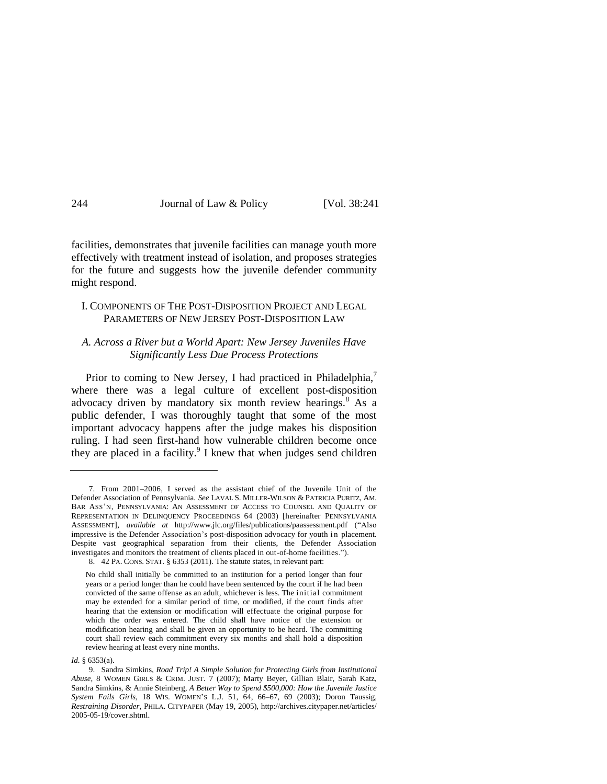facilities, demonstrates that juvenile facilities can manage youth more effectively with treatment instead of isolation, and proposes strategies for the future and suggests how the juvenile defender community might respond.

### I. COMPONENTS OF THE POST-DISPOSITION PROJECT AND LEGAL PARAMETERS OF NEW JERSEY POST-DISPOSITION LAW

### *A. Across a River but a World Apart: New Jersey Juveniles Have Significantly Less Due Process Protections*

Prior to coming to New Jersey, I had practiced in Philadelphia,<sup>7</sup> where there was a legal culture of excellent post-disposition advocacy driven by mandatory six month review hearings.<sup>8</sup> As a public defender, I was thoroughly taught that some of the most important advocacy happens after the judge makes his disposition ruling. I had seen first-hand how vulnerable children become once they are placed in a facility.<sup>9</sup> I knew that when judges send children

<sup>7.</sup> From 2001–2006, I served as the assistant chief of the Juvenile Unit of the Defender Association of Pennsylvania. *See* LAVAL S. MILLER-WILSON & PATRICIA PURITZ, AM. BAR ASS'N, PENNSYLVANIA: AN ASSESSMENT OF ACCESS TO COUNSEL AND QUALITY OF REPRESENTATION IN DELINQUENCY PROCEEDINGS 64 (2003) [hereinafter PENNSYLVANIA ASSESSMENT], *available at http://www.jlc.org/files/publications/paassessment.pdf* ("Also impressive is the Defender Association's post-disposition advocacy for youth in placement. Despite vast geographical separation from their clients, the Defender Association investigates and monitors the treatment of clients placed in out-of-home facilities.").

<sup>8.</sup> 42 PA. CONS. STAT. § 6353 (2011). The statute states, in relevant part:

No child shall initially be committed to an institution for a period longer than four years or a period longer than he could have been sentenced by the court if he had been convicted of the same offense as an adult, whichever is less. The initial commitment may be extended for a similar period of time, or modified, if the court finds after hearing that the extension or modification will effectuate the original purpose for which the order was entered. The child shall have notice of the extension or modification hearing and shall be given an opportunity to be heard. The committing court shall review each commitment every six months and shall hold a disposition review hearing at least every nine months.

*Id.* § 6353(a).

<sup>9.</sup> Sandra Simkins, *Road Trip! A Simple Solution for Protecting Girls from Institutional Abuse*, 8 WOMEN GIRLS & CRIM. JUST. 7 (2007); Marty Beyer, Gillian Blair, Sarah Katz, Sandra Simkins, & Annie Steinberg, *A Better Way to Spend \$500,000: How the Juvenile Justice System Fails Girls*, 18 WIS. WOMEN'S L.J. 51, 64, 66–67, 69 (2003); Doron Taussig, *Restraining Disorder*, PHILA. CITYPAPER (May 19, 2005), http://archives.citypaper.net/articles/ 2005-05-19/cover.shtml.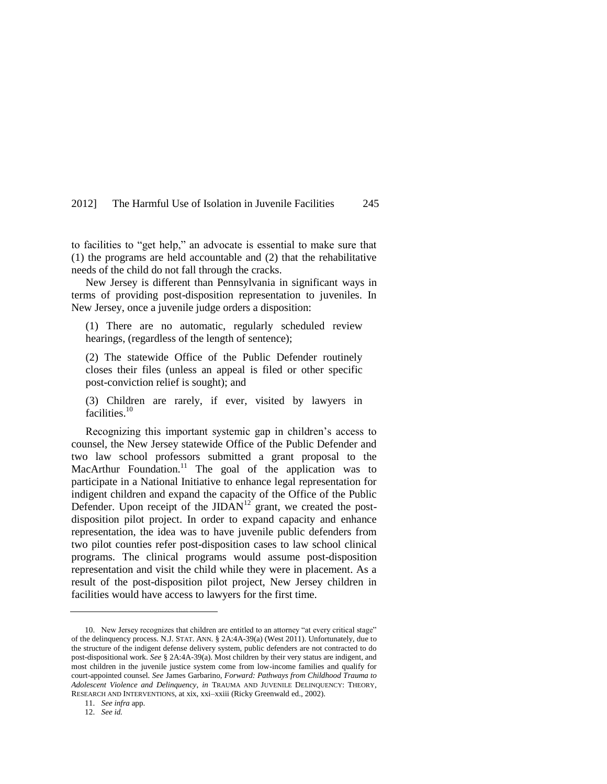to facilities to "get help," an advocate is essential to make sure that (1) the programs are held accountable and (2) that the rehabilitative needs of the child do not fall through the cracks.

New Jersey is different than Pennsylvania in significant ways in terms of providing post-disposition representation to juveniles. In New Jersey, once a juvenile judge orders a disposition:

(1) There are no automatic, regularly scheduled review hearings, (regardless of the length of sentence);

(2) The statewide Office of the Public Defender routinely closes their files (unless an appeal is filed or other specific post-conviction relief is sought); and

(3) Children are rarely, if ever, visited by lawyers in facilities.<sup>10</sup>

Recognizing this important systemic gap in children's access to counsel, the New Jersey statewide Office of the Public Defender and two law school professors submitted a grant proposal to the MacArthur Foundation.<sup>11</sup> The goal of the application was to participate in a National Initiative to enhance legal representation for indigent children and expand the capacity of the Office of the Public Defender. Upon receipt of the  $JIDAN<sup>12</sup>$  grant, we created the postdisposition pilot project. In order to expand capacity and enhance representation, the idea was to have juvenile public defenders from two pilot counties refer post-disposition cases to law school clinical programs. The clinical programs would assume post-disposition representation and visit the child while they were in placement. As a result of the post-disposition pilot project, New Jersey children in facilities would have access to lawyers for the first time.

<sup>10.</sup> New Jersey recognizes that children are entitled to an attorney "at every critical stage" of the delinquency process. N.J. STAT. ANN. § 2A:4A-39(a) (West 2011). Unfortunately, due to the structure of the indigent defense delivery system, public defenders are not contracted to do post-dispositional work. *See* § 2A:4A-39(a). Most children by their very status are indigent, and most children in the juvenile justice system come from low-income families and qualify for court-appointed counsel. *See* James Garbarino, *Forward: Pathways from Childhood Trauma to Adolescent Violence and Delinquency*, *in* TRAUMA AND JUVENILE DELINQUENCY: THEORY, RESEARCH AND INTERVENTIONS, at xix, xxi–xxiii (Ricky Greenwald ed., 2002).

<sup>11.</sup> *See infra* app.

<sup>12.</sup> *See id.*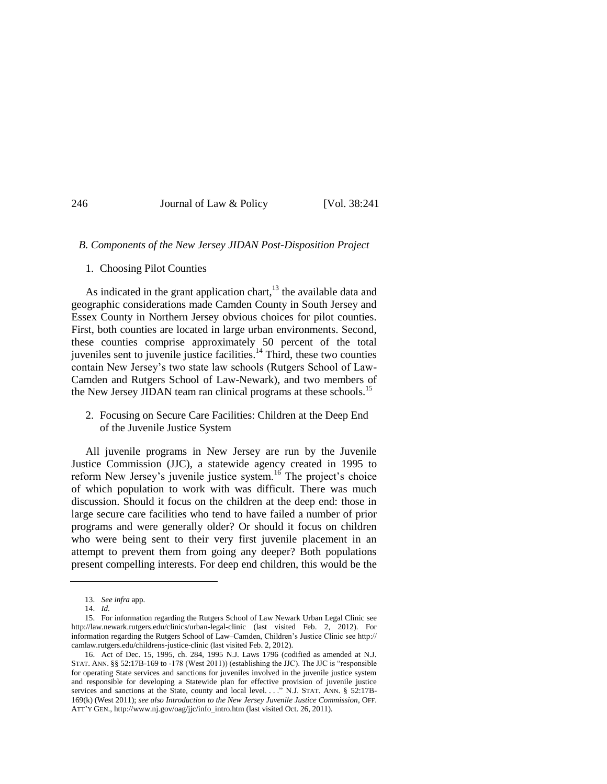### *B. Components of the New Jersey JIDAN Post-Disposition Project*

#### 1. Choosing Pilot Counties

As indicated in the grant application chart, $13$  the available data and geographic considerations made Camden County in South Jersey and Essex County in Northern Jersey obvious choices for pilot counties. First, both counties are located in large urban environments. Second, these counties comprise approximately 50 percent of the total juveniles sent to juvenile justice facilities. $14$  Third, these two counties contain New Jersey's two state law schools (Rutgers School of Law-Camden and Rutgers School of Law-Newark), and two members of the New Jersey JIDAN team ran clinical programs at these schools.<sup>15</sup>

2. Focusing on Secure Care Facilities: Children at the Deep End of the Juvenile Justice System

All juvenile programs in New Jersey are run by the Juvenile Justice Commission (JJC), a statewide agency created in 1995 to reform New Jersey's juvenile justice system.<sup>16</sup> The project's choice of which population to work with was difficult. There was much discussion. Should it focus on the children at the deep end: those in large secure care facilities who tend to have failed a number of prior programs and were generally older? Or should it focus on children who were being sent to their very first juvenile placement in an attempt to prevent them from going any deeper? Both populations present compelling interests. For deep end children, this would be the

<sup>13.</sup> *See infra* app.

<sup>14.</sup> *Id.*

<sup>15.</sup> For information regarding the Rutgers School of Law Newark Urban Legal Clinic see http://law.newark.rutgers.edu/clinics/urban-legal-clinic (last visited Feb. 2, 2012). For information regarding the Rutgers School of Law–Camden, Children's Justice Clinic see http:// camlaw.rutgers.edu/childrens-justice-clinic (last visited Feb. 2, 2012).

<sup>16.</sup> Act of Dec. 15, 1995, ch. 284, 1995 N.J. Laws 1796 (codified as amended at N.J. STAT. ANN.  $\S\S$  52:17B-169 to -178 (West 2011)) (establishing the JJC). The JJC is "responsible for operating State services and sanctions for juveniles involved in the juvenile justice system and responsible for developing a Statewide plan for effective provision of juvenile justice services and sanctions at the State, county and local level. . . . N.J. STAT. ANN. § 52:17B-169(k) (West 2011); *see also Introduction to the New Jersey Juvenile Justice Commission*, OFF. ATT'Y GEN., http://www.nj.gov/oag/jjc/info\_intro.htm (last visited Oct. 26, 2011).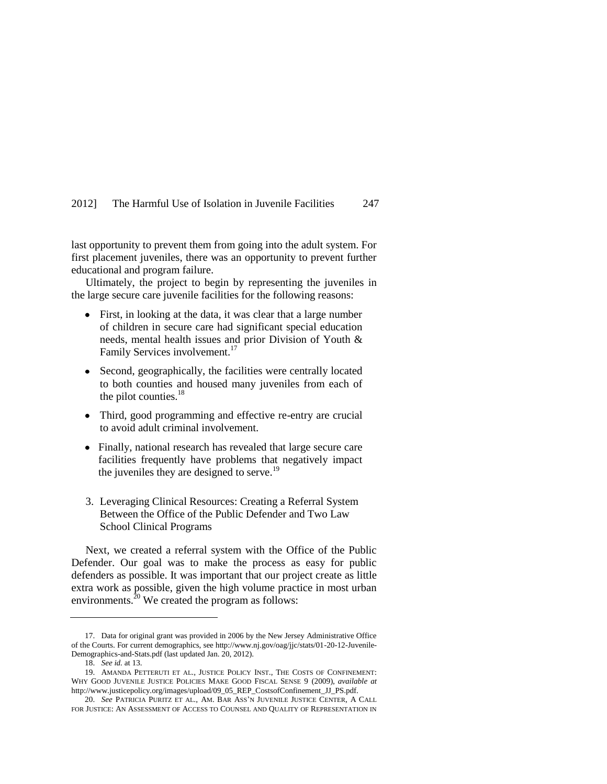last opportunity to prevent them from going into the adult system. For first placement juveniles, there was an opportunity to prevent further educational and program failure.

Ultimately, the project to begin by representing the juveniles in the large secure care juvenile facilities for the following reasons:

- First, in looking at the data, it was clear that a large number of children in secure care had significant special education needs, mental health issues and prior Division of Youth & Family Services involvement.<sup>17</sup>
- $\bullet$ Second, geographically, the facilities were centrally located to both counties and housed many juveniles from each of the pilot counties.<sup>18</sup>
- Third, good programming and effective re-entry are crucial to avoid adult criminal involvement.
- Finally, national research has revealed that large secure care facilities frequently have problems that negatively impact the juveniles they are designed to serve. $^{19}$
- 3. Leveraging Clinical Resources: Creating a Referral System Between the Office of the Public Defender and Two Law School Clinical Programs

Next, we created a referral system with the Office of the Public Defender. Our goal was to make the process as easy for public defenders as possible. It was important that our project create as little extra work as possible, given the high volume practice in most urban environments.<sup>20</sup> We created the program as follows:

<sup>17.</sup> Data for original grant was provided in 2006 by the New Jersey Administrative Office of the Courts. For current demographics, see http://www.nj.gov/oag/jjc/stats/01-20-12-Juvenile-Demographics-and-Stats.pdf (last updated Jan. 20, 2012).

<sup>18.</sup> *See id.* at 13.

<sup>19.</sup> AMANDA PETTERUTI ET AL., JUSTICE POLICY INST., THE COSTS OF CONFINEMENT: WHY GOOD JUVENILE JUSTICE POLICIES MAKE GOOD FISCAL SENSE 9 (2009), *available at*  http://www.justicepolicy.org/images/upload/09\_05\_REP\_CostsofConfinement\_JJ\_PS.pdf.

<sup>20.</sup> *See* PATRICIA PURITZ ET AL., AM. BAR ASS'N JUVENILE JUSTICE CENTER, A CALL FOR JUSTICE: AN ASSESSMENT OF ACCESS TO COUNSEL AND QUALITY OF REPRESENTATION IN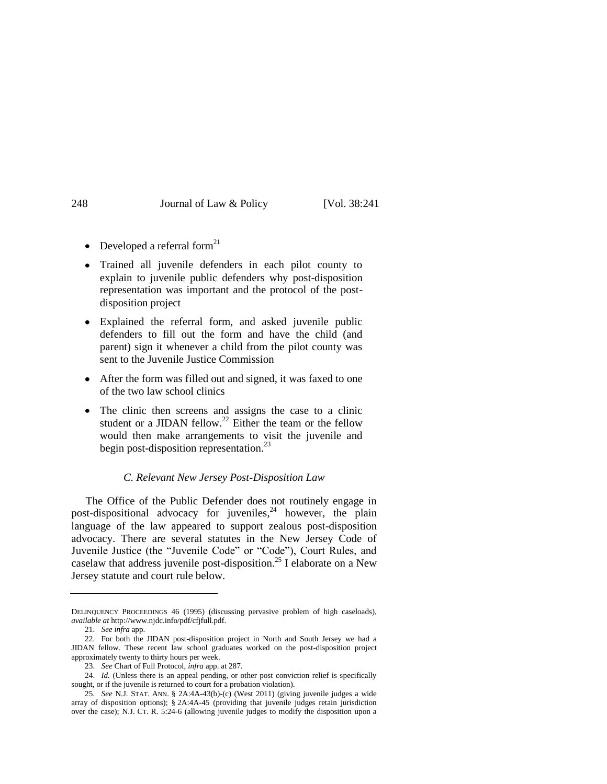- Developed a referral form $^{21}$  $\bullet$
- Trained all juvenile defenders in each pilot county to  $\bullet$ explain to juvenile public defenders why post-disposition representation was important and the protocol of the postdisposition project
- Explained the referral form, and asked juvenile public  $\bullet$ defenders to fill out the form and have the child (and parent) sign it whenever a child from the pilot county was sent to the Juvenile Justice Commission
- After the form was filled out and signed, it was faxed to one of the two law school clinics
- $\bullet$ The clinic then screens and assigns the case to a clinic student or a JIDAN fellow.<sup>22</sup> Either the team or the fellow would then make arrangements to visit the juvenile and begin post-disposition representation.<sup>23</sup>

#### *C. Relevant New Jersey Post-Disposition Law*

The Office of the Public Defender does not routinely engage in post-dispositional advocacy for juveniles, <sup>24</sup> however, the plain language of the law appeared to support zealous post-disposition advocacy. There are several statutes in the New Jersey Code of Juvenile Justice (the "Juvenile Code" or "Code"), Court Rules, and caselaw that address juvenile post-disposition.<sup>25</sup> I elaborate on a New Jersey statute and court rule below.

DELINQUENCY PROCEEDINGS 46 (1995) (discussing pervasive problem of high caseloads), *available at* http://www.njdc.info/pdf/cfjfull.pdf.

<sup>21.</sup> *See infra* app.

<sup>22.</sup> For both the JIDAN post-disposition project in North and South Jersey we had a JIDAN fellow. These recent law school graduates worked on the post-disposition project approximately twenty to thirty hours per week.

<sup>23.</sup> *See* Chart of Full Protocol, *infra* app. at 287.

<sup>24.</sup> *Id.* (Unless there is an appeal pending, or other post conviction relief is specifically sought, or if the juvenile is returned to court for a probation violation).

<sup>25.</sup> *See* N.J. STAT. ANN. § 2A:4A-43(b)-(c) (West 2011) (giving juvenile judges a wide array of disposition options); § 2A:4A-45 (providing that juvenile judges retain jurisdiction over the case); N.J. CT. R. 5:24-6 (allowing juvenile judges to modify the disposition upon a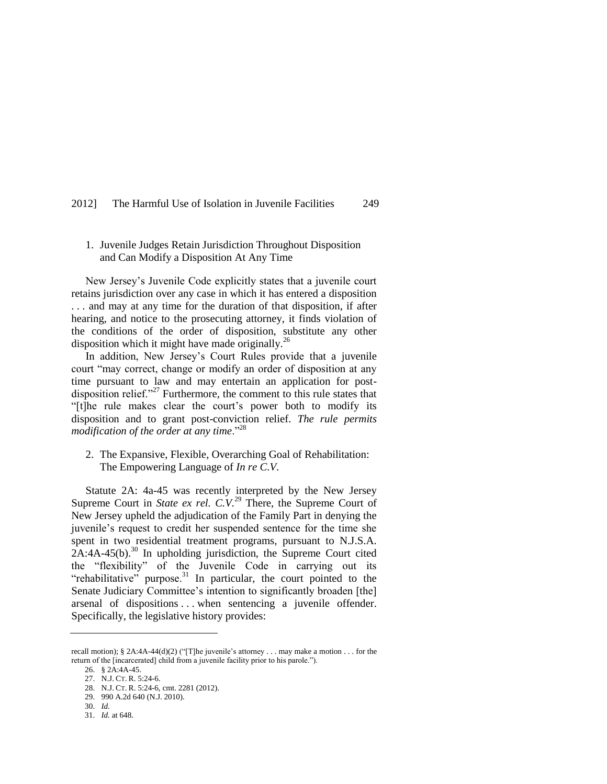### 1. Juvenile Judges Retain Jurisdiction Throughout Disposition and Can Modify a Disposition At Any Time

New Jersey's Juvenile Code explicitly states that a juvenile court retains jurisdiction over any case in which it has entered a disposition . . . and may at any time for the duration of that disposition, if after hearing, and notice to the prosecuting attorney, it finds violation of the conditions of the order of disposition, substitute any other disposition which it might have made originally.<sup>26</sup>

In addition, New Jersey's Court Rules provide that a juvenile court "may correct, change or modify an order of disposition at any time pursuant to law and may entertain an application for postdisposition relief. $127$  Furthermore, the comment to this rule states that ―[t]he rule makes clear the court's power both to modify its disposition and to grant post-conviction relief. *The rule permits modification of the order at any time.*"<sup>28</sup>

2. The Expansive, Flexible, Overarching Goal of Rehabilitation: The Empowering Language of *In re C.V.*

Statute 2A: 4a-45 was recently interpreted by the New Jersey Supreme Court in *State ex rel. C.V.*<sup>29</sup> There, the Supreme Court of New Jersey upheld the adjudication of the Family Part in denying the juvenile's request to credit her suspended sentence for the time she spent in two residential treatment programs, pursuant to N.J.S.A.  $2A:4A-45(b).$ <sup>30</sup> In upholding jurisdiction, the Supreme Court cited the "flexibility" of the Juvenile Code in carrying out its "rehabilitative" purpose. $31$  In particular, the court pointed to the Senate Judiciary Committee's intention to significantly broaden [the] arsenal of dispositions . . . when sentencing a juvenile offender. Specifically, the legislative history provides:

recall motion); § 2A:4A-44(d)(2) ("[T]he juvenile's attorney . . . may make a motion . . . for the return of the [incarcerated] child from a juvenile facility prior to his parole.").

<sup>26.</sup> § 2A:4A-45.

<sup>27.</sup> N.J. CT. R. 5:24-6.

<sup>28.</sup> N.J. CT. R. 5:24-6, cmt. 2281 (2012).

<sup>29.</sup> 990 A.2d 640 (N.J. 2010).

<sup>30.</sup> *Id.*

<sup>31.</sup> *Id.* at 648.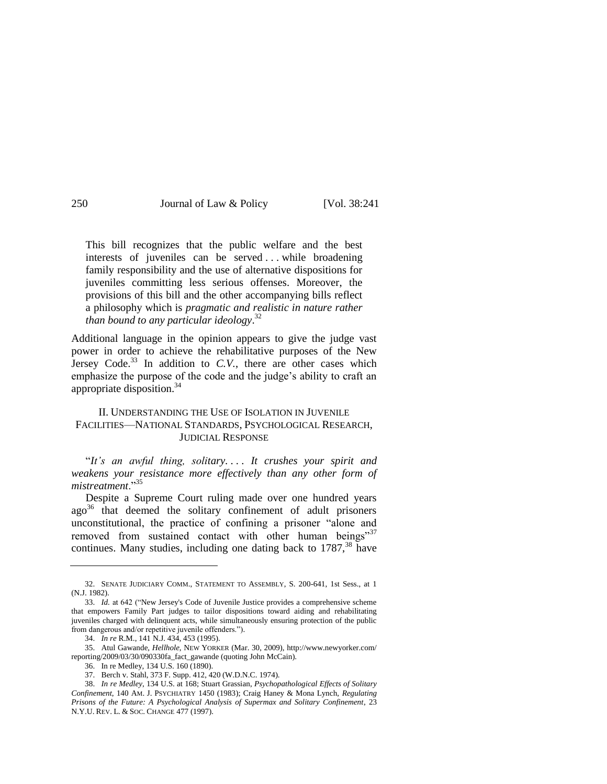This bill recognizes that the public welfare and the best interests of juveniles can be served . . . while broadening family responsibility and the use of alternative dispositions for juveniles committing less serious offenses. Moreover, the provisions of this bill and the other accompanying bills reflect a philosophy which is *pragmatic and realistic in nature rather than bound to any particular ideology*. 32

Additional language in the opinion appears to give the judge vast power in order to achieve the rehabilitative purposes of the New Jersey Code.<sup>33</sup> In addition to  $C.V.$ , there are other cases which emphasize the purpose of the code and the judge's ability to craft an appropriate disposition.<sup>34</sup>

### II. UNDERSTANDING THE USE OF ISOLATION IN JUVENILE FACILITIES—NATIONAL STANDARDS, PSYCHOLOGICAL RESEARCH, JUDICIAL RESPONSE

―*It's an awful thing, solitary. . . . It crushes your spirit and weakens your resistance more effectively than any other form of mistreatment.*"35

Despite a Supreme Court ruling made over one hundred years  $ago^{36}$  that deemed the solitary confinement of adult prisoners unconstitutional, the practice of confining a prisoner "alone and removed from sustained contact with other human beings"<sup>37</sup> continues. Many studies, including one dating back to  $1787$ ,<sup>38</sup> have

<span id="page-9-0"></span><sup>32.</sup> SENATE JUDICIARY COMM., STATEMENT TO ASSEMBLY, S. 200-641, 1st Sess., at 1 (N.J. 1982).

<sup>33.</sup> *Id.* at 642 ("New Jersey's Code of Juvenile Justice provides a comprehensive scheme that empowers Family Part judges to tailor dispositions toward aiding and rehabilitating juveniles charged with delinquent acts, while simultaneously ensuring protection of the public from dangerous and/or repetitive juvenile offenders.").

<sup>34.</sup> *In re* R.M., 141 N.J. 434, 453 (1995).

<sup>35.</sup> Atul Gawande, *Hellhole*, NEW YORKER (Mar. 30, 2009), http://www.newyorker.com/ reporting/2009/03/30/090330fa\_fact\_gawande (quoting John McCain).

<sup>36.</sup> In re Medley, 134 U.S. 160 (1890).

<sup>37.</sup> Berch v. Stahl, 373 F. Supp. 412, 420 (W.D.N.C. 1974).

<sup>38.</sup> *In re Medley*, 134 U.S. at 168; Stuart Grassian, *Psychopathological Effects of Solitary Confinement*, 140 AM. J. PSYCHIATRY 1450 (1983); Craig Haney & Mona Lynch, *Regulating Prisons of the Future: A Psychological Analysis of Supermax and Solitary Confinement*, 23 N.Y.U. REV. L. & SOC. CHANGE 477 (1997).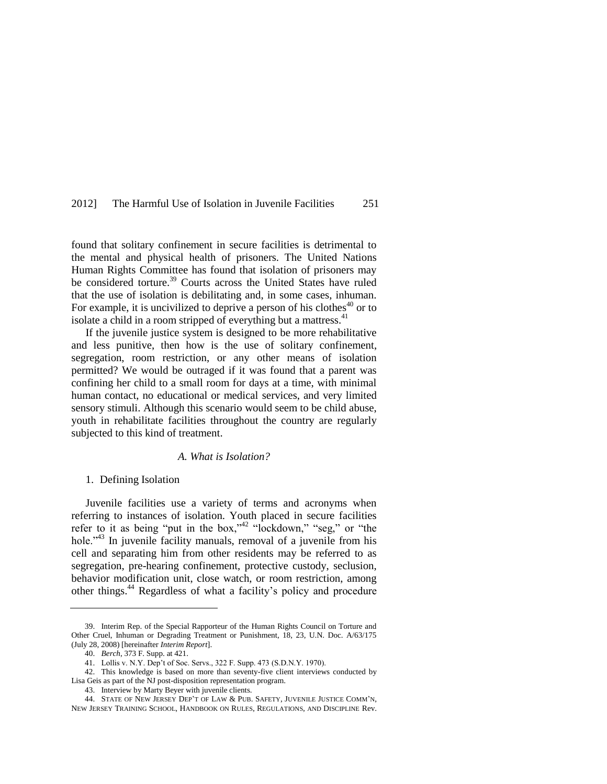<span id="page-10-0"></span>found that solitary confinement in secure facilities is detrimental to the mental and physical health of prisoners. The United Nations Human Rights Committee has found that isolation of prisoners may be considered torture.<sup>39</sup> Courts across the United States have ruled that the use of isolation is debilitating and, in some cases, inhuman. For example, it is uncivilized to deprive a person of his clothes<sup>40</sup> or to isolate a child in a room stripped of everything but a mattress.<sup>41</sup>

If the juvenile justice system is designed to be more rehabilitative and less punitive, then how is the use of solitary confinement, segregation, room restriction, or any other means of isolation permitted? We would be outraged if it was found that a parent was confining her child to a small room for days at a time, with minimal human contact, no educational or medical services, and very limited sensory stimuli. Although this scenario would seem to be child abuse, youth in rehabilitate facilities throughout the country are regularly subjected to this kind of treatment.

#### *A. What is Isolation?*

#### 1. Defining Isolation

Juvenile facilities use a variety of terms and acronyms when referring to instances of isolation. Youth placed in secure facilities refer to it as being "put in the box,"<sup>42 "lockdown," "seg," or "the</sup> hole.<sup>343</sup> In juvenile facility manuals, removal of a juvenile from his cell and separating him from other residents may be referred to as segregation, pre-hearing confinement, protective custody, seclusion, behavior modification unit, close watch, or room restriction, among other things.<sup>44</sup> Regardless of what a facility's policy and procedure

<sup>39.</sup> Interim Rep. of the Special Rapporteur of the Human Rights Council on Torture and Other Cruel, Inhuman or Degrading Treatment or Punishment, 18, 23, U.N. Doc. A/63/175 (July 28, 2008) [hereinafter *Interim Report*].

<sup>40.</sup> *Berch*, 373 F. Supp. at 421.

<sup>41.</sup> Lollis v. N.Y. Dep't of Soc. Servs., 322 F. Supp. 473 (S.D.N.Y. 1970).

<sup>42.</sup> This knowledge is based on more than seventy-five client interviews conducted by Lisa Geis as part of the NJ post-disposition representation program.

<sup>43.</sup> Interview by Marty Beyer with juvenile clients.

<sup>44.</sup> STATE OF NEW JERSEY DEP'T OF LAW & PUB. SAFETY, JUVENILE JUSTICE COMM'N, NEW JERSEY TRAINING SCHOOL, HANDBOOK ON RULES, REGULATIONS, AND DISCIPLINE Rev.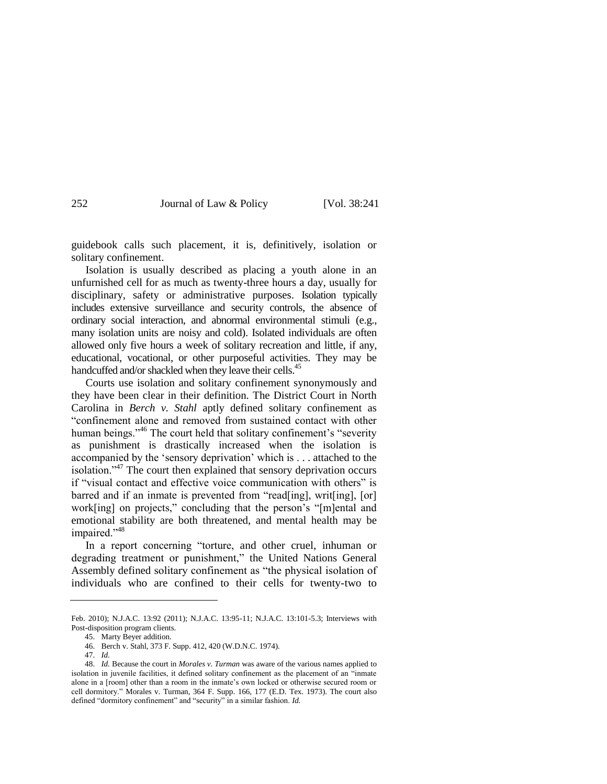guidebook calls such placement, it is, definitively, isolation or solitary confinement.

Isolation is usually described as placing a youth alone in an unfurnished cell for as much as twenty-three hours a day, usually for disciplinary, safety or administrative purposes. Isolation typically includes extensive surveillance and security controls, the absence of ordinary social interaction, and abnormal environmental stimuli (e.g., many isolation units are noisy and cold). Isolated individuals are often allowed only five hours a week of solitary recreation and little, if any, educational, vocational, or other purposeful activities. They may be handcuffed and/or shackled when they leave their cells.<sup>45</sup>

Courts use isolation and solitary confinement synonymously and they have been clear in their definition. The District Court in North Carolina in *Berch v. Stahl* aptly defined solitary confinement as ―confinement alone and removed from sustained contact with other human beings."<sup>46</sup> The court held that solitary confinement's "severity" as punishment is drastically increased when the isolation is accompanied by the 'sensory deprivation' which is . . . attached to the isolation.<sup> $347$ </sup> The court then explained that sensory deprivation occurs if "visual contact and effective voice communication with others" is barred and if an inmate is prevented from "read[ing], writ[ing], [or] work[ing] on projects," concluding that the person's "[m]ental and emotional stability are both threatened, and mental health may be impaired."<sup>48</sup>

In a report concerning "torture, and other cruel, inhuman or degrading treatment or punishment," the United Nations General Assembly defined solitary confinement as "the physical isolation of individuals who are confined to their cells for twenty-two to

Feb. 2010); N.J.A.C. 13:92 (2011); N.J.A.C. 13:95-11; N.J.A.C. 13:101-5.3; Interviews with Post-disposition program clients.

<sup>45.</sup> Marty Beyer addition.

<sup>46.</sup> Berch v. Stahl, 373 F. Supp. 412, 420 (W.D.N.C. 1974).

<sup>47.</sup> *Id.*

<sup>48.</sup> *Id.* Because the court in *Morales v. Turman* was aware of the various names applied to isolation in juvenile facilities, it defined solitary confinement as the placement of an "inmate alone in a [room] other than a room in the inmate's own locked or otherwise secured room or cell dormitory." Morales v. Turman, 364 F. Supp. 166, 177 (E.D. Tex. 1973). The court also defined "dormitory confinement" and "security" in a similar fashion. *Id.*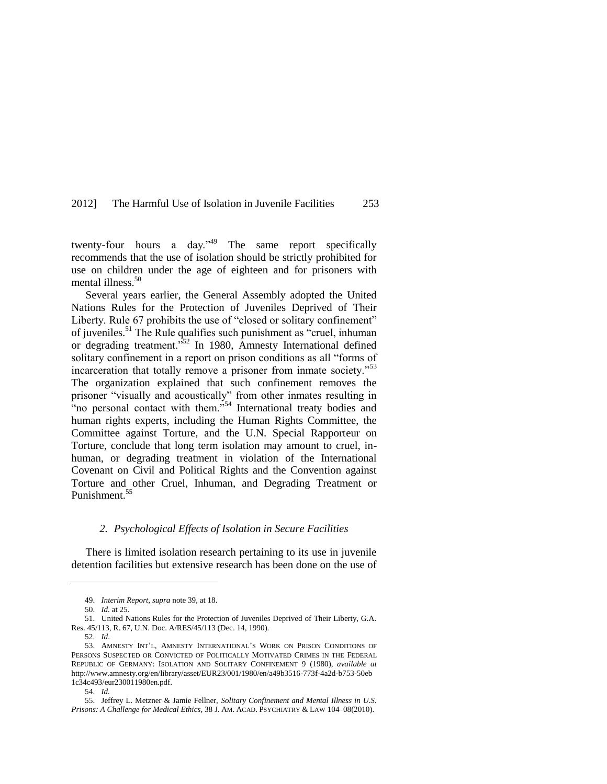twenty-four hours a day."<sup>49</sup> The same report specifically recommends that the use of isolation should be strictly prohibited for use on children under the age of eighteen and for prisoners with mental illness.<sup>50</sup>

Several years earlier, the General Assembly adopted the United Nations Rules for the Protection of Juveniles Deprived of Their Liberty. Rule 67 prohibits the use of "closed or solitary confinement" of juveniles.<sup>51</sup> The Rule qualifies such punishment as "cruel, inhuman or degrading treatment.<sup>352</sup> In 1980, Amnesty International defined solitary confinement in a report on prison conditions as all "forms of incarceration that totally remove a prisoner from inmate society."<sup>53</sup> The organization explained that such confinement removes the prisoner "visually and acoustically" from other inmates resulting in And the personal contact with them.<sup>554</sup> International treaty bodies and human rights experts, including the Human Rights Committee, the Committee against Torture, and the U.N. Special Rapporteur on Torture, conclude that long term isolation may amount to cruel, inhuman, or degrading treatment in violation of the International Covenant on Civil and Political Rights and the Convention against Torture and other Cruel, Inhuman, and Degrading Treatment or Punishment.<sup>55</sup>

#### *2. Psychological Effects of Isolation in Secure Facilities*

There is limited isolation research pertaining to its use in juvenile detention facilities but extensive research has been done on the use of

<sup>49.</sup> *Interim Report*, *supra* not[e 39,](#page-10-0) at 18.

<sup>50.</sup> *Id.* at 25.

<sup>51.</sup> United Nations Rules for the Protection of Juveniles Deprived of Their Liberty, G.A. Res. 45/113, R. 67, U.N. Doc. A/RES/45/113 (Dec. 14, 1990).

<sup>52.</sup> *Id*.

<sup>53.</sup> AMNESTY INT'L, AMNESTY INTERNATIONAL'S WORK ON PRISON CONDITIONS OF PERSONS SUSPECTED OR CONVICTED OF POLITICALLY MOTIVATED CRIMES IN THE FEDERAL REPUBLIC OF GERMANY: ISOLATION AND SOLITARY CONFINEMENT 9 (1980), *available at* http://www.amnesty.org/en/library/asset/EUR23/001/1980/en/a49b3516-773f-4a2d-b753-50eb 1c34c493/eur230011980en.pdf.

<sup>54.</sup> *Id.*

<sup>55.</sup> Jeffrey L. Metzner & Jamie Fellner, *Solitary Confinement and Mental Illness in U.S. Prisons: A Challenge for Medical Ethics*, 38 J. AM. ACAD. PSYCHIATRY & LAW 104–08(2010).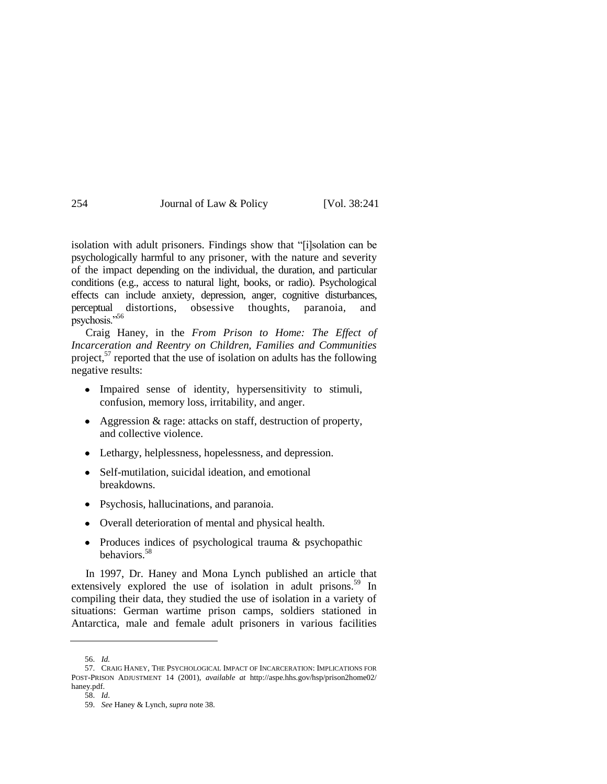| 254<br>Journal of Law & Policy |  | [Vol. 38:241] |
|--------------------------------|--|---------------|
|--------------------------------|--|---------------|

isolation with adult prisoners. Findings show that "[i]solation can be psychologically harmful to any prisoner, with the nature and severity of the impact depending on the individual, the duration, and particular conditions (e.g., access to natural light, books, or radio). Psychological effects can include anxiety, depression, anger, cognitive disturbances, perceptual distortions, obsessive thoughts, paranoia, and psychosis."56

Craig Haney, in the *From Prison to Home: The Effect of Incarceration and Reentry on Children, Families and Communities*  project, $57$  reported that the use of isolation on adults has the following negative results:

- Impaired sense of identity, hypersensitivity to stimuli, confusion, memory loss, irritability, and anger.
- Aggression & rage: attacks on staff, destruction of property, and collective violence.
- Lethargy, helplessness, hopelessness, and depression.
- Self-mutilation, suicidal ideation, and emotional breakdowns.
- Psychosis, hallucinations, and paranoia.
- Overall deterioration of mental and physical health.
- Produces indices of psychological trauma & psychopathic  $\bullet$ behaviors.<sup>58</sup>

In 1997, Dr. Haney and Mona Lynch published an article that extensively explored the use of isolation in adult prisons.<sup>59</sup> In compiling their data, they studied the use of isolation in a variety of situations: German wartime prison camps, soldiers stationed in Antarctica, male and female adult prisoners in various facilities

<sup>56.</sup> *Id.*

<sup>57.</sup> CRAIG HANEY, THE PSYCHOLOGICAL IMPACT OF INCARCERATION: IMPLICATIONS FOR POST-PRISON ADJUSTMENT 14 (2001), *available at* http://aspe.hhs.gov/hsp/prison2home02/ haney.pdf.

<sup>58.</sup> *Id*.

<sup>59.</sup> *See* Haney & Lynch, *supra* not[e 38.](#page-9-0)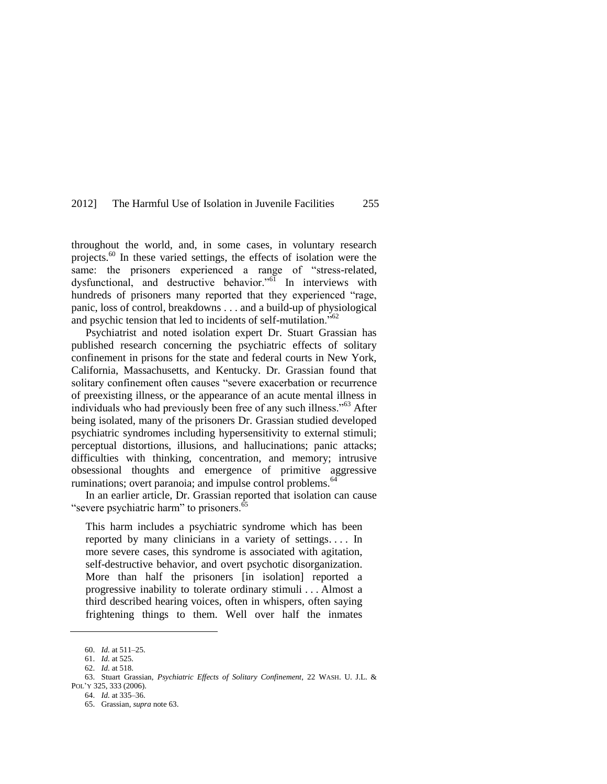throughout the world, and, in some cases, in voluntary research projects.<sup>60</sup> In these varied settings, the effects of isolation were the same: the prisoners experienced a range of "stress-related, dysfunctional, and destructive behavior."<sup>61</sup> In interviews with hundreds of prisoners many reported that they experienced "rage, panic, loss of control, breakdowns . . . and a build-up of physiological and psychic tension that led to incidents of self-mutilation.<sup> $562$ </sup>

<span id="page-14-0"></span>Psychiatrist and noted isolation expert Dr. Stuart Grassian has published research concerning the psychiatric effects of solitary confinement in prisons for the state and federal courts in New York, California, Massachusetts, and Kentucky. Dr. Grassian found that solitary confinement often causes "severe exacerbation or recurrence of preexisting illness, or the appearance of an acute mental illness in individuals who had previously been free of any such illness."<sup>63</sup> After being isolated, many of the prisoners Dr. Grassian studied developed psychiatric syndromes including hypersensitivity to external stimuli; perceptual distortions, illusions, and hallucinations; panic attacks; difficulties with thinking, concentration, and memory; intrusive obsessional thoughts and emergence of primitive aggressive ruminations; overt paranoia; and impulse control problems.<sup>64</sup>

In an earlier article, Dr. Grassian reported that isolation can cause "severe psychiatric harm" to prisoners. $65$ 

This harm includes a psychiatric syndrome which has been reported by many clinicians in a variety of settings. . . . In more severe cases, this syndrome is associated with agitation, self-destructive behavior, and overt psychotic disorganization. More than half the prisoners [in isolation] reported a progressive inability to tolerate ordinary stimuli . . . Almost a third described hearing voices, often in whispers, often saying frightening things to them. Well over half the inmates

<sup>60.</sup> *Id.* at 511–25.

<sup>61.</sup> *Id.* at 525. 62. *Id.* at 518.

<sup>63.</sup> Stuart Grassian, *Psychiatric Effects of Solitary Confinement*, 22 WASH. U. J.L. & POL'Y 325, 333 (2006).

<sup>64.</sup> *Id.* at 335–36.

<sup>65.</sup> Grassian, *supra* not[e 63.](#page-14-0)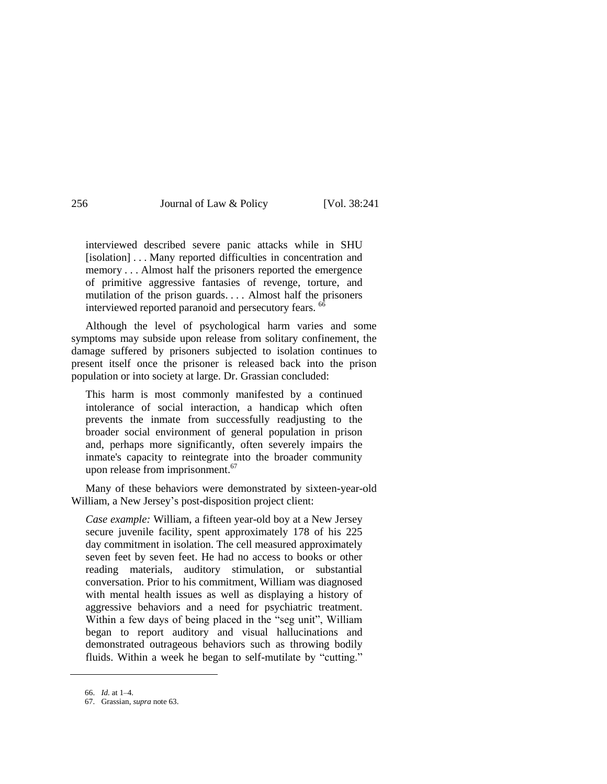interviewed described severe panic attacks while in SHU [isolation] . . . Many reported difficulties in concentration and memory . . . Almost half the prisoners reported the emergence of primitive aggressive fantasies of revenge, torture, and mutilation of the prison guards. . . . Almost half the prisoners interviewed reported paranoid and persecutory fears.<sup>66</sup>

Although the level of psychological harm varies and some symptoms may subside upon release from solitary confinement, the damage suffered by prisoners subjected to isolation continues to present itself once the prisoner is released back into the prison population or into society at large. Dr. Grassian concluded:

This harm is most commonly manifested by a continued intolerance of social interaction, a handicap which often prevents the inmate from successfully readjusting to the broader social environment of general population in prison and, perhaps more significantly, often severely impairs the inmate's capacity to reintegrate into the broader community upon release from imprisonment.<sup>67</sup>

Many of these behaviors were demonstrated by sixteen-year-old William, a New Jersey's post-disposition project client:

*Case example:* William, a fifteen year-old boy at a New Jersey secure juvenile facility, spent approximately 178 of his 225 day commitment in isolation. The cell measured approximately seven feet by seven feet. He had no access to books or other reading materials, auditory stimulation, or substantial conversation. Prior to his commitment, William was diagnosed with mental health issues as well as displaying a history of aggressive behaviors and a need for psychiatric treatment. Within a few days of being placed in the "seg unit", William began to report auditory and visual hallucinations and demonstrated outrageous behaviors such as throwing bodily fluids. Within a week he began to self-mutilate by "cutting."

<sup>66.</sup> *Id.* at 1–4.

<sup>67.</sup> Grassian, *supra* not[e 63.](#page-14-0)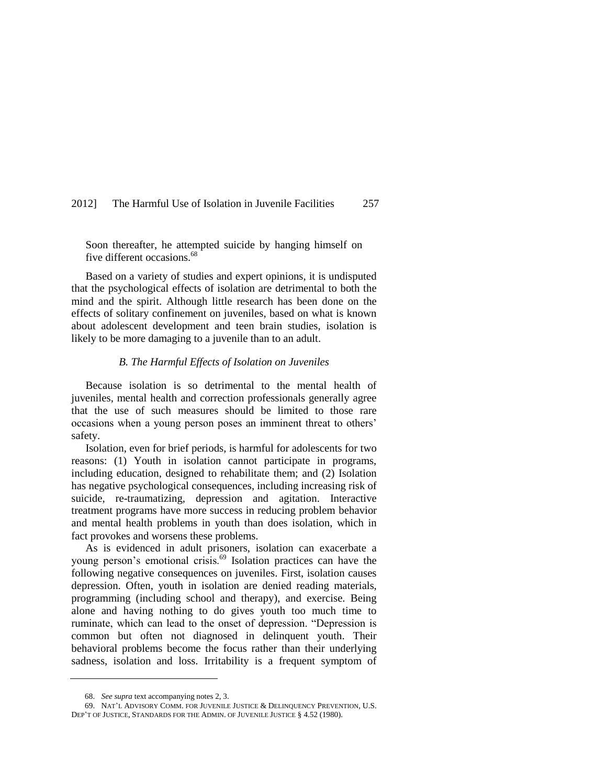Soon thereafter, he attempted suicide by hanging himself on five different occasions.<sup>68</sup>

Based on a variety of studies and expert opinions, it is undisputed that the psychological effects of isolation are detrimental to both the mind and the spirit. Although little research has been done on the effects of solitary confinement on juveniles, based on what is known about adolescent development and teen brain studies, isolation is likely to be more damaging to a juvenile than to an adult.

#### *B. The Harmful Effects of Isolation on Juveniles*

Because isolation is so detrimental to the mental health of juveniles, mental health and correction professionals generally agree that the use of such measures should be limited to those rare occasions when a young person poses an imminent threat to others' safety.

Isolation, even for brief periods, is harmful for adolescents for two reasons: (1) Youth in isolation cannot participate in programs, including education, designed to rehabilitate them; and (2) Isolation has negative psychological consequences, including increasing risk of suicide, re-traumatizing, depression and agitation. Interactive treatment programs have more success in reducing problem behavior and mental health problems in youth than does isolation, which in fact provokes and worsens these problems.

As is evidenced in adult prisoners, isolation can exacerbate a young person's emotional crisis.<sup>69</sup> Isolation practices can have the following negative consequences on juveniles. First, isolation causes depression. Often, youth in isolation are denied reading materials, programming (including school and therapy), and exercise. Being alone and having nothing to do gives youth too much time to ruminate, which can lead to the onset of depression. "Depression is common but often not diagnosed in delinquent youth. Their behavioral problems become the focus rather than their underlying sadness, isolation and loss. Irritability is a frequent symptom of

<sup>68.</sup> *See supra* text accompanying note[s 2,](#page-1-0) [3.](#page-1-1)

<sup>69.</sup> NAT'L ADVISORY COMM. FOR JUVENILE JUSTICE & DELINQUENCY PREVENTION, U.S. DEP'T OF JUSTICE, STANDARDS FOR THE ADMIN. OF JUVENILE JUSTICE § 4.52 (1980).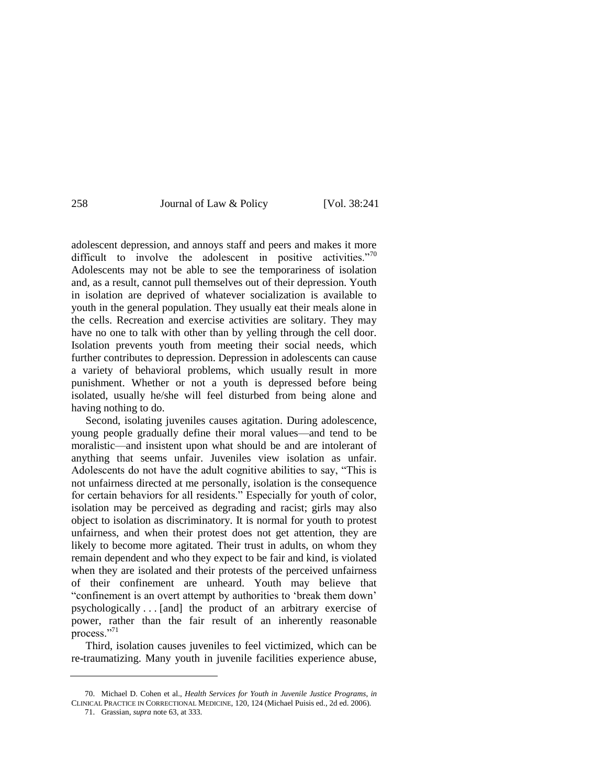<span id="page-17-0"></span>

adolescent depression, and annoys staff and peers and makes it more difficult to involve the adolescent in positive activities. $\frac{70}{0}$ Adolescents may not be able to see the temporariness of isolation and, as a result, cannot pull themselves out of their depression. Youth in isolation are deprived of whatever socialization is available to youth in the general population. They usually eat their meals alone in the cells. Recreation and exercise activities are solitary. They may have no one to talk with other than by yelling through the cell door. Isolation prevents youth from meeting their social needs, which further contributes to depression. Depression in adolescents can cause a variety of behavioral problems, which usually result in more punishment. Whether or not a youth is depressed before being isolated, usually he/she will feel disturbed from being alone and having nothing to do.

Second, isolating juveniles causes agitation. During adolescence, young people gradually define their moral values—and tend to be moralistic—and insistent upon what should be and are intolerant of anything that seems unfair. Juveniles view isolation as unfair. Adolescents do not have the adult cognitive abilities to say, "This is not unfairness directed at me personally, isolation is the consequence for certain behaviors for all residents." Especially for youth of color, isolation may be perceived as degrading and racist; girls may also object to isolation as discriminatory. It is normal for youth to protest unfairness, and when their protest does not get attention, they are likely to become more agitated. Their trust in adults, on whom they remain dependent and who they expect to be fair and kind, is violated when they are isolated and their protests of the perceived unfairness of their confinement are unheard. Youth may believe that ―confinement is an overt attempt by authorities to ‗break them down' psychologically . . . [and] the product of an arbitrary exercise of power, rather than the fair result of an inherently reasonable process."71

Third, isolation causes juveniles to feel victimized, which can be re-traumatizing. Many youth in juvenile facilities experience abuse,

<sup>70.</sup> Michael D. Cohen et al., *Health Services for Youth in Juvenile Justice Programs*, *in* CLINICAL PRACTICE IN CORRECTIONAL MEDICINE, 120, 124 (Michael Puisis ed., 2d ed. 2006).

<sup>71.</sup> Grassian, *supra* not[e 63,](#page-14-0) at 333.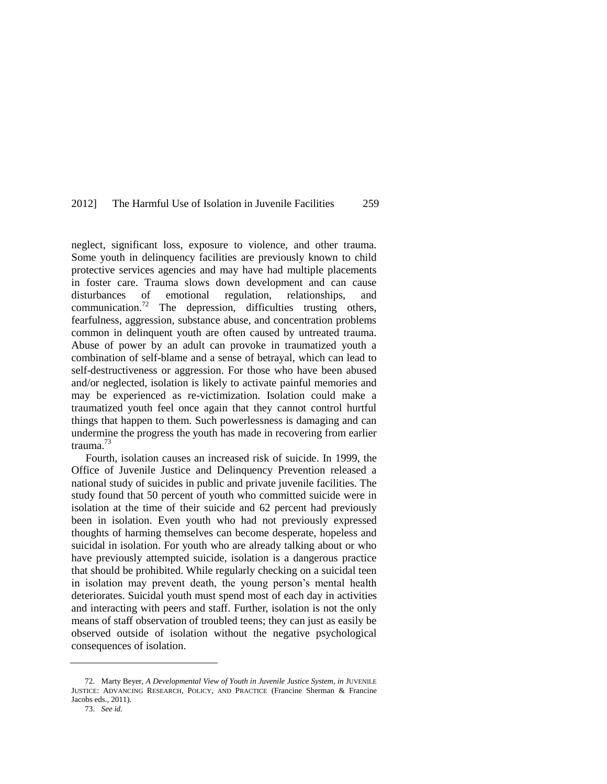neglect, significant loss, exposure to violence, and other trauma. Some youth in delinquency facilities are previously known to child protective services agencies and may have had multiple placements in foster care. Trauma slows down development and can cause disturbances of emotional regulation, relationships, and communication.<sup>72</sup> The depression, difficulties trusting others, fearfulness, aggression, substance abuse, and concentration problems common in delinquent youth are often caused by untreated trauma. Abuse of power by an adult can provoke in traumatized youth a combination of self-blame and a sense of betrayal, which can lead to self-destructiveness or aggression. For those who have been abused and/or neglected, isolation is likely to activate painful memories and may be experienced as re-victimization. Isolation could make a traumatized youth feel once again that they cannot control hurtful things that happen to them. Such powerlessness is damaging and can undermine the progress the youth has made in recovering from earlier trauma.<sup>73</sup>

Fourth, isolation causes an increased risk of suicide. In 1999, the Office of Juvenile Justice and Delinquency Prevention released a national study of suicides in public and private juvenile facilities. The study found that 50 percent of youth who committed suicide were in isolation at the time of their suicide and 62 percent had previously been in isolation. Even youth who had not previously expressed thoughts of harming themselves can become desperate, hopeless and suicidal in isolation. For youth who are already talking about or who have previously attempted suicide, isolation is a dangerous practice that should be prohibited. While regularly checking on a suicidal teen in isolation may prevent death, the young person's mental health deteriorates. Suicidal youth must spend most of each day in activities and interacting with peers and staff. Further, isolation is not the only means of staff observation of troubled teens; they can just as easily be observed outside of isolation without the negative psychological consequences of isolation.

<sup>72.</sup> Marty Beyer, *A Developmental View of Youth in Juvenile Justice System*, *in* JUVENILE JUSTICE: ADVANCING RESEARCH, POLICY, AND PRACTICE (Francine Sherman & Francine Jacobs eds., 2011).

<sup>73.</sup> *See id.*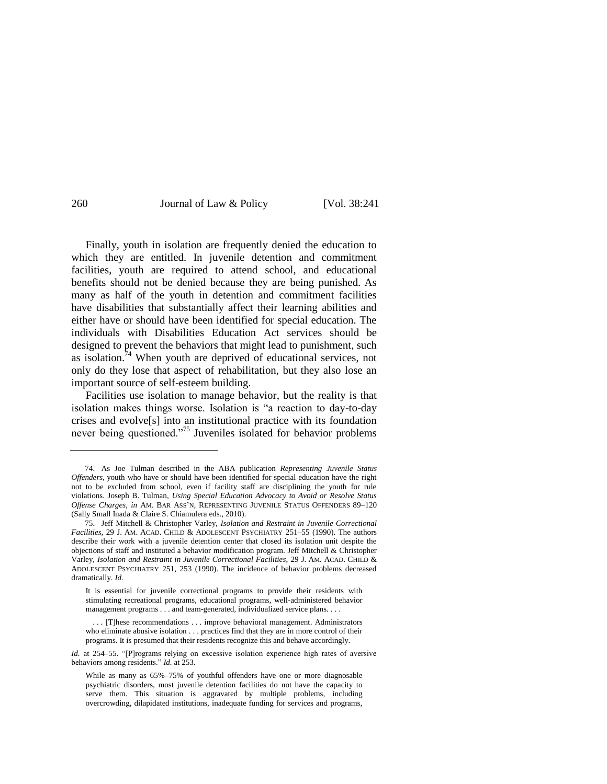Finally, youth in isolation are frequently denied the education to which they are entitled. In juvenile detention and commitment facilities, youth are required to attend school, and educational benefits should not be denied because they are being punished. As many as half of the youth in detention and commitment facilities have disabilities that substantially affect their learning abilities and either have or should have been identified for special education. The individuals with Disabilities Education Act services should be designed to prevent the behaviors that might lead to punishment, such as isolation.<sup>74</sup> When youth are deprived of educational services, not only do they lose that aspect of rehabilitation, but they also lose an important source of self-esteem building.

Facilities use isolation to manage behavior, but the reality is that isolation makes things worse. Isolation is "a reaction to day-to-day crises and evolve[s] into an institutional practice with its foundation never being questioned."<sup>75</sup> Juveniles isolated for behavior problems

*Id.* at 254–55. "[P]rograms relying on excessive isolation experience high rates of aversive behaviors among residents." *Id.* at 253.

<sup>74.</sup> As Joe Tulman described in the ABA publication *Representing Juvenile Status Offenders*, youth who have or should have been identified for special education have the right not to be excluded from school, even if facility staff are disciplining the youth for rule violations. Joseph B. Tulman, *Using Special Education Advocacy to Avoid or Resolve Status Offense Charges*, *in* AM. BAR ASS'N, REPRESENTING JUVENILE STATUS OFFENDERS 89–120 (Sally Small Inada & Claire S. Chiamulera eds., 2010).

<sup>75.</sup> Jeff Mitchell & Christopher Varley, *Isolation and Restraint in Juvenile Correctional Facilities*, 29 J. AM. ACAD. CHILD & ADOLESCENT PSYCHIATRY 251–55 (1990). The authors describe their work with a juvenile detention center that closed its isolation unit despite the objections of staff and instituted a behavior modification program. Jeff Mitchell & Christopher Varley, *Isolation and Restraint in Juvenile Correctional Facilities*, 29 J. AM. ACAD. CHILD & ADOLESCENT PSYCHIATRY 251, 253 (1990). The incidence of behavior problems decreased dramatically. *Id.*

It is essential for juvenile correctional programs to provide their residents with stimulating recreational programs, educational programs, well-administered behavior management programs . . . and team-generated, individualized service plans. . . .

<sup>.</sup> . . [T]hese recommendations . . . improve behavioral management. Administrators who eliminate abusive isolation . . . practices find that they are in more control of their programs. It is presumed that their residents recognize this and behave accordingly.

While as many as 65%–75% of youthful offenders have one or more diagnosable psychiatric disorders, most juvenile detention facilities do not have the capacity to serve them. This situation is aggravated by multiple problems, including overcrowding, dilapidated institutions, inadequate funding for services and programs,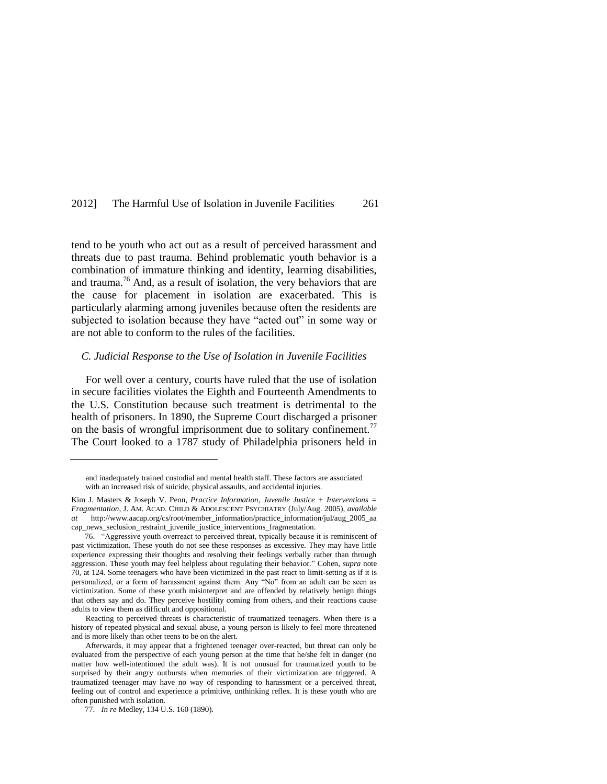tend to be youth who act out as a result of perceived harassment and threats due to past trauma. Behind problematic youth behavior is a combination of immature thinking and identity, learning disabilities, and trauma.<sup>76</sup> And, as a result of isolation, the very behaviors that are the cause for placement in isolation are exacerbated. This is particularly alarming among juveniles because often the residents are subjected to isolation because they have "acted out" in some way or are not able to conform to the rules of the facilities.

#### *C. Judicial Response to the Use of Isolation in Juvenile Facilities*

For well over a century, courts have ruled that the use of isolation in secure facilities violates the Eighth and Fourteenth Amendments to the U.S. Constitution because such treatment is detrimental to the health of prisoners. In 1890, the Supreme Court discharged a prisoner on the basis of wrongful imprisonment due to solitary confinement.<sup>77</sup> The Court looked to a 1787 study of Philadelphia prisoners held in

Reacting to perceived threats is characteristic of traumatized teenagers. When there is a history of repeated physical and sexual abuse, a young person is likely to feel more threatened and is more likely than other teens to be on the alert.

and inadequately trained custodial and mental health staff. These factors are associated with an increased risk of suicide, physical assaults, and accidental injuries.

Kim J. Masters & Joseph V. Penn, *Practice Information*, *Juvenile Justice + Interventions = Fragmentation*, J. AM. ACAD. CHILD & ADOLESCENT PSYCHIATRY (July/Aug. 2005), *available at* http://www.aacap.org/cs/root/member\_information/practice\_information/jul/aug\_2005\_aa cap\_news\_seclusion\_restraint\_juvenile\_justice\_interventions\_fragmentation.

<sup>76.</sup> ―Aggressive youth overreact to perceived threat, typically because it is reminiscent of past victimization. These youth do not see these responses as excessive. They may have little experience expressing their thoughts and resolving their feelings verbally rather than through aggression. These youth may feel helpless about regulating their behavior." Cohen, *supra* note [70,](#page-17-0) at 124. Some teenagers who have been victimized in the past react to limit-setting as if it is personalized, or a form of harassment against them. Any "No" from an adult can be seen as victimization. Some of these youth misinterpret and are offended by relatively benign things that others say and do. They perceive hostility coming from others, and their reactions cause adults to view them as difficult and oppositional.

Afterwards, it may appear that a frightened teenager over-reacted, but threat can only be evaluated from the perspective of each young person at the time that he/she felt in danger (no matter how well-intentioned the adult was). It is not unusual for traumatized youth to be surprised by their angry outbursts when memories of their victimization are triggered. A traumatized teenager may have no way of responding to harassment or a perceived threat, feeling out of control and experience a primitive, unthinking reflex. It is these youth who are often punished with isolation.

<sup>77.</sup> *In re* Medley, 134 U.S. 160 (1890).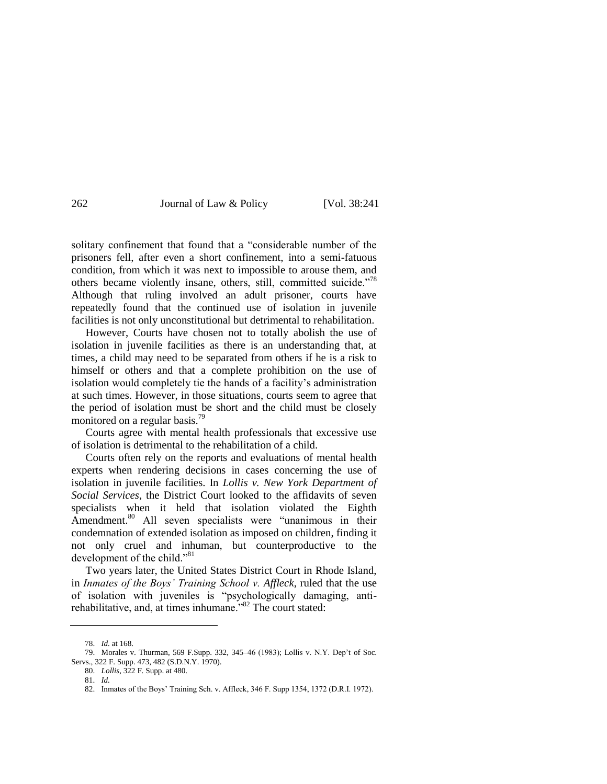solitary confinement that found that a "considerable number of the prisoners fell, after even a short confinement, into a semi-fatuous condition, from which it was next to impossible to arouse them, and others became violently insane, others, still, committed suicide.<sup>778</sup> Although that ruling involved an adult prisoner, courts have repeatedly found that the continued use of isolation in juvenile facilities is not only unconstitutional but detrimental to rehabilitation.

However, Courts have chosen not to totally abolish the use of isolation in juvenile facilities as there is an understanding that, at times, a child may need to be separated from others if he is a risk to himself or others and that a complete prohibition on the use of isolation would completely tie the hands of a facility's administration at such times. However, in those situations, courts seem to agree that the period of isolation must be short and the child must be closely monitored on a regular basis.<sup>79</sup>

Courts agree with mental health professionals that excessive use of isolation is detrimental to the rehabilitation of a child.

Courts often rely on the reports and evaluations of mental health experts when rendering decisions in cases concerning the use of isolation in juvenile facilities. In *Lollis v. New York Department of Social Services*, the District Court looked to the affidavits of seven specialists when it held that isolation violated the Eighth Amendment.<sup>80</sup> All seven specialists were "unanimous in their condemnation of extended isolation as imposed on children, finding it not only cruel and inhuman, but counterproductive to the development of the child."<sup>81</sup>

Two years later, the United States District Court in Rhode Island, in *Inmates of the Boys' Training School v. Affleck*, ruled that the use of isolation with juveniles is "psychologically damaging, antirehabilitative, and, at times inhumane.<sup>382</sup> The court stated:

<sup>78.</sup> *Id.* at 168.

<sup>79.</sup> Morales v. Thurman, 569 F.Supp. 332, 345–46 (1983); Lollis v. N.Y. Dep't of Soc. Servs., 322 F. Supp. 473, 482 (S.D.N.Y. 1970).

<sup>80.</sup> *Lollis*, 322 F. Supp. at 480.

<sup>81.</sup> *Id.*

<sup>82.</sup> Inmates of the Boys' Training Sch. v. Affleck, 346 F. Supp 1354, 1372 (D.R.I. 1972).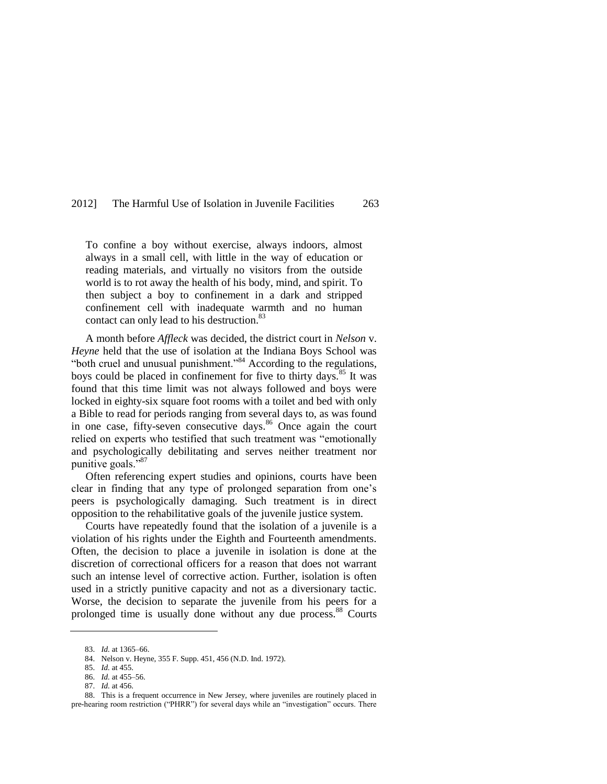To confine a boy without exercise, always indoors, almost always in a small cell, with little in the way of education or reading materials, and virtually no visitors from the outside world is to rot away the health of his body, mind, and spirit. To then subject a boy to confinement in a dark and stripped confinement cell with inadequate warmth and no human contact can only lead to his destruction.<sup>83</sup>

A month before *Affleck* was decided, the district court in *Nelson* v. *Heyne* held that the use of isolation at the Indiana Boys School was "both cruel and unusual punishment."<sup>84</sup> According to the regulations, boys could be placed in confinement for five to thirty days.<sup>85</sup> It was found that this time limit was not always followed and boys were locked in eighty-six square foot rooms with a toilet and bed with only a Bible to read for periods ranging from several days to, as was found in one case, fifty-seven consecutive days.<sup>86</sup> Once again the court relied on experts who testified that such treatment was "emotionally and psychologically debilitating and serves neither treatment nor punitive goals."<sup>87</sup>

Often referencing expert studies and opinions, courts have been clear in finding that any type of prolonged separation from one's peers is psychologically damaging. Such treatment is in direct opposition to the rehabilitative goals of the juvenile justice system.

Courts have repeatedly found that the isolation of a juvenile is a violation of his rights under the Eighth and Fourteenth amendments. Often, the decision to place a juvenile in isolation is done at the discretion of correctional officers for a reason that does not warrant such an intense level of corrective action. Further, isolation is often used in a strictly punitive capacity and not as a diversionary tactic. Worse, the decision to separate the juvenile from his peers for a prolonged time is usually done without any due process.<sup>88</sup> Courts

<sup>83.</sup> *Id.* at 1365–66.

<sup>84.</sup> Nelson v. Heyne, 355 F. Supp. 451, 456 (N.D. Ind. 1972).

<sup>85.</sup> *Id.* at 455.

<sup>86.</sup> *Id.* at 455–56.

<sup>87.</sup> *Id.* at 456.

<sup>88.</sup> This is a frequent occurrence in New Jersey, where juveniles are routinely placed in pre-hearing room restriction ("PHRR") for several days while an "investigation" occurs. There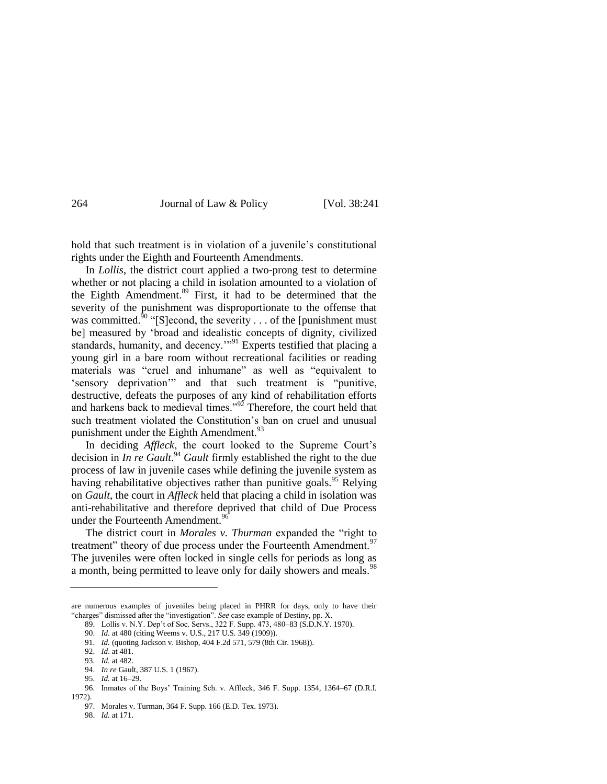hold that such treatment is in violation of a juvenile's constitutional rights under the Eighth and Fourteenth Amendments.

In *Lollis*, the district court applied a two-prong test to determine whether or not placing a child in isolation amounted to a violation of the Eighth Amendment.<sup>89</sup> First, it had to be determined that the severity of the punishment was disproportionate to the offense that was committed.<sup>90</sup>  $\cdot$  [S]econd, the severity . . . of the [punishment must be] measured by 'broad and idealistic concepts of dignity, civilized standards, humanity, and decency."<sup>91</sup> Experts testified that placing a young girl in a bare room without recreational facilities or reading materials was "cruel and inhumane" as well as "equivalent to 'sensory deprivation'" and that such treatment is "punitive, destructive, defeats the purposes of any kind of rehabilitation efforts and harkens back to medieval times." $^{92}$  Therefore, the court held that such treatment violated the Constitution's ban on cruel and unusual punishment under the Eighth Amendment.<sup>93</sup>

In deciding *Affleck*, the court looked to the Supreme Court's decision in *In re Gault*. <sup>94</sup> *Gault* firmly established the right to the due process of law in juvenile cases while defining the juvenile system as having rehabilitative objectives rather than punitive goals.<sup>95</sup> Relying on *Gault*, the court in *Affleck* held that placing a child in isolation was anti-rehabilitative and therefore deprived that child of Due Process under the Fourteenth Amendment.<sup>96</sup>

The district court in *Morales v. Thurman* expanded the "right to treatment" theory of due process under the Fourteenth Amendment.<sup>97</sup> The juveniles were often locked in single cells for periods as long as a month, being permitted to leave only for daily showers and meals.<sup>98</sup>

are numerous examples of juveniles being placed in PHRR for days, only to have their "charges" dismissed after the "investigation". *See* case example of Destiny, pp. X.

<sup>89.</sup> Lollis v. N.Y. Dep't of Soc. Servs., 322 F. Supp. 473, 480–83 (S.D.N.Y. 1970).

<sup>90.</sup> *Id.* at 480 (citing Weems v. U.S., 217 U.S. 349 (1909)).

<sup>91.</sup> *Id.* (quoting Jackson v. Bishop, 404 F.2d 571, 579 (8th Cir. 1968)).

<sup>92.</sup> *Id*. at 481.

<sup>93.</sup> *Id.* at 482.

<sup>94.</sup> *In re* Gault, 387 U.S. 1 (1967).

<sup>95.</sup> *Id.* at 16–29.

<sup>96.</sup> Inmates of the Boys' Training Sch. v. Affleck, 346 F. Supp. 1354, 1364–67 (D.R.I. 1972).

<sup>97.</sup> Morales v. Turman, 364 F. Supp. 166 (E.D. Tex. 1973).

<sup>98.</sup> *Id.* at 171.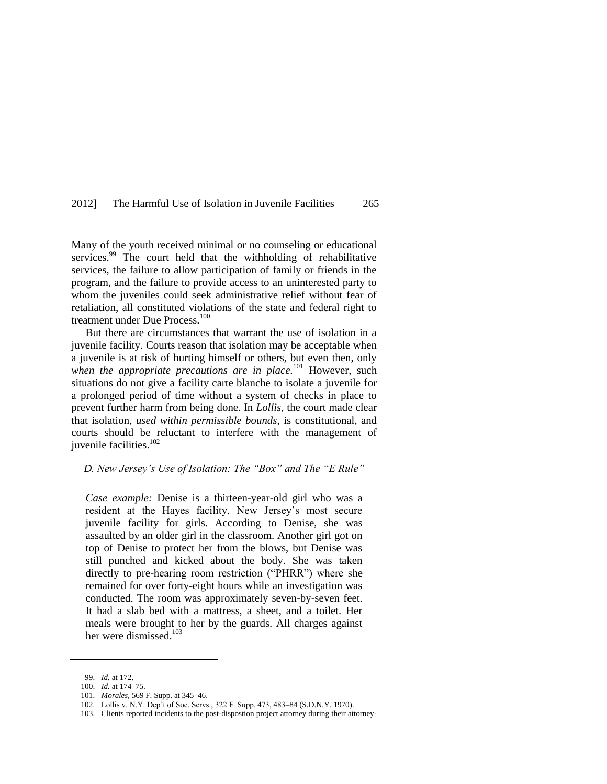Many of the youth received minimal or no counseling or educational services.<sup>99</sup> The court held that the withholding of rehabilitative services, the failure to allow participation of family or friends in the program, and the failure to provide access to an uninterested party to whom the juveniles could seek administrative relief without fear of retaliation, all constituted violations of the state and federal right to treatment under Due Process.<sup>100</sup>

But there are circumstances that warrant the use of isolation in a juvenile facility. Courts reason that isolation may be acceptable when a juvenile is at risk of hurting himself or others, but even then, only when the appropriate precautions are in place.<sup>101</sup> However, such situations do not give a facility carte blanche to isolate a juvenile for a prolonged period of time without a system of checks in place to prevent further harm from being done. In *Lollis*, the court made clear that isolation, *used within permissible bounds*, is constitutional, and courts should be reluctant to interfere with the management of juvenile facilities.<sup>102</sup>

#### *D. New Jersey's Use of Isolation: The "Box" and The "E Rule"*

*Case example:* Denise is a thirteen-year-old girl who was a resident at the Hayes facility, New Jersey's most secure juvenile facility for girls. According to Denise, she was assaulted by an older girl in the classroom. Another girl got on top of Denise to protect her from the blows, but Denise was still punched and kicked about the body. She was taken directly to pre-hearing room restriction ("PHRR") where she remained for over forty-eight hours while an investigation was conducted. The room was approximately seven-by-seven feet. It had a slab bed with a mattress, a sheet, and a toilet. Her meals were brought to her by the guards. All charges against her were dismissed. $103$ 

<span id="page-24-0"></span><sup>99.</sup> *Id.* at 172.

<sup>100.</sup> *Id.* at 174–75.

<sup>101.</sup> *Morales*, 569 F. Supp. at 345–46.

<sup>102.</sup> Lollis v. N.Y. Dep't of Soc. Servs., 322 F. Supp. 473, 483–84 (S.D.N.Y. 1970).

<sup>103.</sup> Clients reported incidents to the post-dispostion project attorney during their attorney-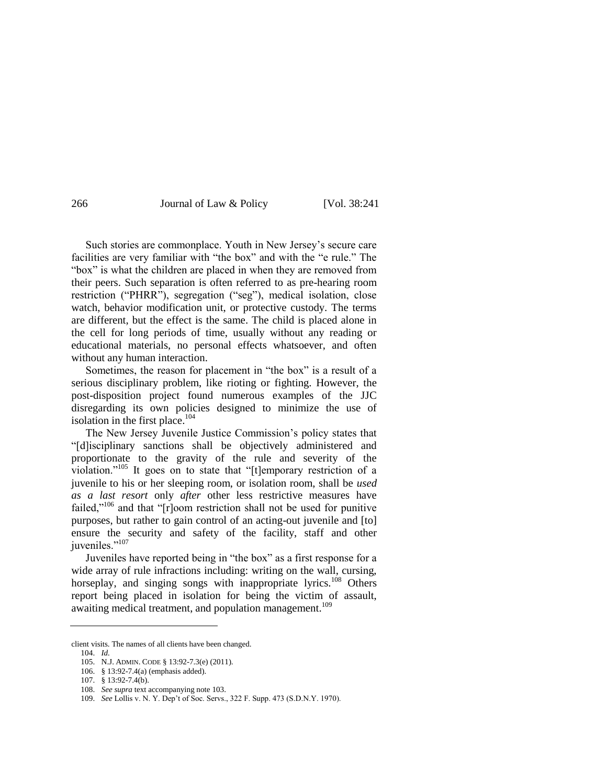Such stories are commonplace. Youth in New Jersey's secure care facilities are very familiar with "the box" and with the "e rule." The "box" is what the children are placed in when they are removed from their peers. Such separation is often referred to as pre-hearing room restriction ("PHRR"), segregation ("seg"), medical isolation, close watch, behavior modification unit, or protective custody. The terms are different, but the effect is the same. The child is placed alone in the cell for long periods of time, usually without any reading or educational materials, no personal effects whatsoever, and often without any human interaction.

Sometimes, the reason for placement in "the box" is a result of a serious disciplinary problem, like rioting or fighting. However, the post-disposition project found numerous examples of the JJC disregarding its own policies designed to minimize the use of isolation in the first place.<sup>104</sup>

The New Jersey Juvenile Justice Commission's policy states that "[d]isciplinary sanctions shall be objectively administered and proportionate to the gravity of the rule and severity of the violation."<sup>105</sup> It goes on to state that "[t]emporary restriction of a juvenile to his or her sleeping room, or isolation room, shall be *used as a last resort* only *after* other less restrictive measures have failed,"<sup>106</sup> and that " $r$ [ $r$ ]oom restriction shall not be used for punitive purposes, but rather to gain control of an acting-out juvenile and [to] ensure the security and safety of the facility, staff and other juveniles."<sup>107</sup>

Juveniles have reported being in "the box" as a first response for a wide array of rule infractions including: writing on the wall, cursing, horseplay, and singing songs with inappropriate lyrics.<sup>108</sup> Others report being placed in isolation for being the victim of assault, awaiting medical treatment, and population management.<sup>109</sup>

client visits. The names of all clients have been changed.

<sup>104.</sup> *Id.*

<sup>105.</sup> N.J. ADMIN. CODE § 13:92-7.3(e) (2011).

<sup>106.</sup> § 13:92-7.4(a) (emphasis added).

<sup>107.</sup> § 13:92-7.4(b).

<sup>108.</sup> *See supra* text accompanying not[e 103.](#page-24-0)

<sup>109.</sup> *See* Lollis v. N. Y. Dep't of Soc. Servs., 322 F. Supp. 473 (S.D.N.Y. 1970).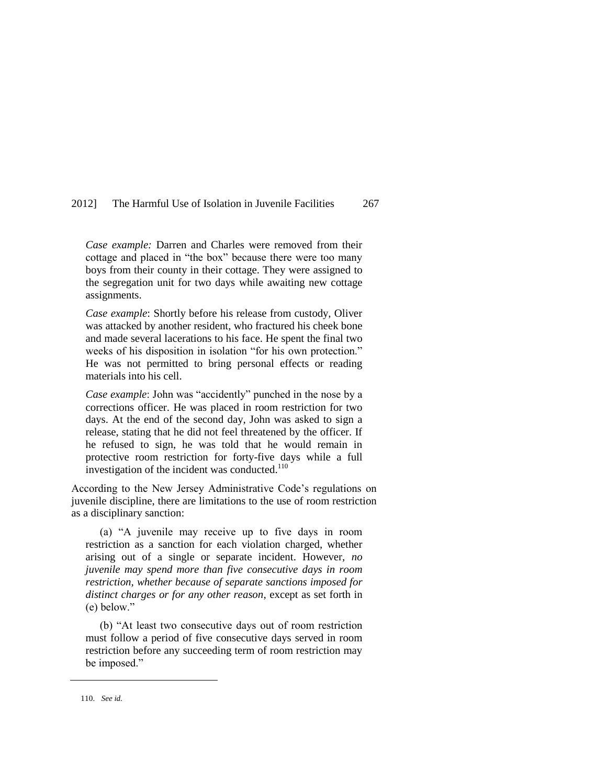*Case example:* Darren and Charles were removed from their cottage and placed in "the box" because there were too many boys from their county in their cottage. They were assigned to the segregation unit for two days while awaiting new cottage assignments.

*Case example*: Shortly before his release from custody, Oliver was attacked by another resident, who fractured his cheek bone and made several lacerations to his face. He spent the final two weeks of his disposition in isolation "for his own protection." He was not permitted to bring personal effects or reading materials into his cell.

*Case example*: John was "accidently" punched in the nose by a corrections officer. He was placed in room restriction for two days. At the end of the second day, John was asked to sign a release, stating that he did not feel threatened by the officer. If he refused to sign, he was told that he would remain in protective room restriction for forty-five days while a full investigation of the incident was conducted.<sup>110</sup>

According to the New Jersey Administrative Code's regulations on juvenile discipline, there are limitations to the use of room restriction as a disciplinary sanction:

(a) "A juvenile may receive up to five days in room restriction as a sanction for each violation charged, whether arising out of a single or separate incident. However, *no juvenile may spend more than five consecutive days in room restriction, whether because of separate sanctions imposed for distinct charges or for any other reason*, except as set forth in  $(e)$  below."

(b) "At least two consecutive days out of room restriction must follow a period of five consecutive days served in room restriction before any succeeding term of room restriction may be imposed."

<sup>110.</sup> *See id.*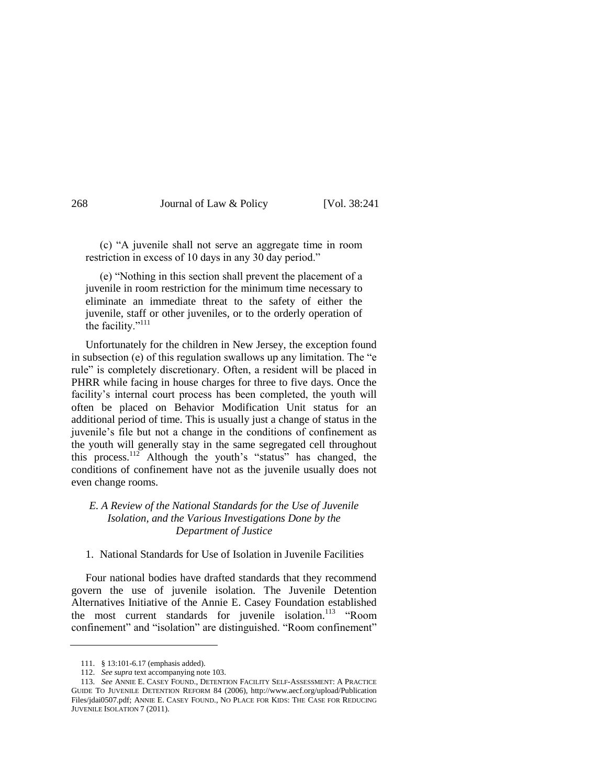(c) ―A juvenile shall not serve an aggregate time in room restriction in excess of 10 days in any 30 day period."

(e) ―Nothing in this section shall prevent the placement of a juvenile in room restriction for the minimum time necessary to eliminate an immediate threat to the safety of either the juvenile, staff or other juveniles, or to the orderly operation of the facility."<sup>111</sup>

Unfortunately for the children in New Jersey, the exception found in subsection  $(e)$  of this regulation swallows up any limitation. The  $\degree e$ rule" is completely discretionary. Often, a resident will be placed in PHRR while facing in house charges for three to five days. Once the facility's internal court process has been completed, the youth will often be placed on Behavior Modification Unit status for an additional period of time. This is usually just a change of status in the juvenile's file but not a change in the conditions of confinement as the youth will generally stay in the same segregated cell throughout this process.<sup>112</sup> Although the youth's "status" has changed, the conditions of confinement have not as the juvenile usually does not even change rooms.

### *E. A Review of the National Standards for the Use of Juvenile Isolation, and the Various Investigations Done by the Department of Justice*

#### 1. National Standards for Use of Isolation in Juvenile Facilities

Four national bodies have drafted standards that they recommend govern the use of juvenile isolation. The Juvenile Detention Alternatives Initiative of the Annie E. Casey Foundation established the most current standards for juvenile isolation.<sup>113</sup> "Room confinement" and "isolation" are distinguished. "Room confinement"

<sup>111.</sup> § 13:101-6.17 (emphasis added).

<sup>112.</sup> *See supra* text accompanying not[e 103.](#page-24-0)

<sup>113.</sup> *[See](file:///C:/Documents%20and%20Settings/jkalkbrenner/Local%20Settings/Temporary%20Internet%20Files/Content.Outlook/AppData/Local/Microsoft/Windows/Temporary%20Internet%20Files/Content.Outlook/jkalkbrenner/Local%20Settings/Temporary%20Internet%20Files/Content.Outlook/23OR1KZ5/%20See%20Annie)* ANNIE E. CASEY FOUND., DETENTION FACILITY SELF-ASSESSMENT: A PRACTICE GUIDE TO JUVENILE DETENTION REFORM 84 (2006), [http://www.aecf.org/upload/Publication](http://www.aecf.org/upload/PublicationFiles/jdai0507.pdf) [Files/jdai0507.pdf;](http://www.aecf.org/upload/PublicationFiles/jdai0507.pdf) ANNIE E. CASEY FOUND., NO PLACE FOR KIDS: THE CASE FOR REDUCING JUVENILE ISOLATION 7 (2011).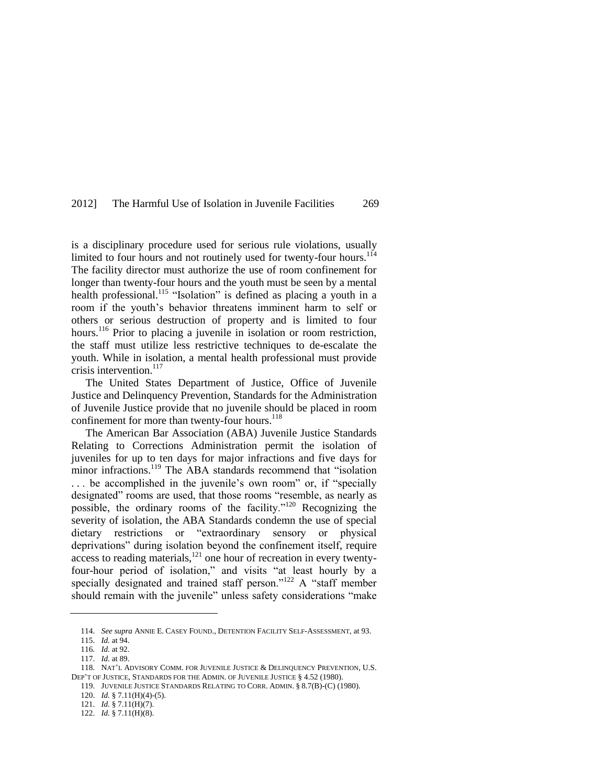is a disciplinary procedure used for serious rule violations, usually limited to four hours and not routinely used for twenty-four hours.<sup>114</sup> The facility director must authorize the use of room confinement for longer than twenty-four hours and the youth must be seen by a mental health professional.<sup>115</sup> "Isolation" is defined as placing a youth in a room if the youth's behavior threatens imminent harm to self or others or serious destruction of property and is limited to four hours.<sup>116</sup> Prior to placing a juvenile in isolation or room restriction, the staff must utilize less restrictive techniques to de-escalate the youth. While in isolation, a mental health professional must provide crisis intervention. $117$ 

The United States Department of Justice, Office of Juvenile Justice and Delinquency Prevention, Standards for the Administration of Juvenile Justice provide that no juvenile should be placed in room confinement for more than twenty-four hours.<sup>118</sup>

The American Bar Association (ABA) Juvenile Justice Standards Relating to Corrections Administration permit the isolation of juveniles for up to ten days for major infractions and five days for minor infractions.<sup>119</sup> The ABA standards recommend that "isolation ... be accomplished in the juvenile's own room" or, if "specially designated" rooms are used, that those rooms "resemble, as nearly as possible, the ordinary rooms of the facility."<sup>120</sup> Recognizing the severity of isolation, the ABA Standards condemn the use of special dietary restrictions or "extraordinary sensory or physical deprivations" during isolation beyond the confinement itself, require access to reading materials,<sup>121</sup> one hour of recreation in every twentyfour-hour period of isolation," and visits "at least hourly by a specially designated and trained staff person." $122$  A "staff member should remain with the juvenile" unless safety considerations "make

<sup>114.</sup> *See supra* ANNIE E. CASEY FOUND., DETENTION FACILITY SELF-ASSESSMENT, at 93.

<sup>115.</sup> *Id.* at 94.

<sup>116</sup>*. Id.* at 92.

<sup>117.</sup> *Id.* at 89.

<sup>118.</sup> NAT'L ADVISORY COMM. FOR JUVENILE JUSTICE & DELINQUENCY PREVENTION, U.S. DEP'T OF JUSTICE, STANDARDS FOR THE ADMIN. OF JUVENILE JUSTICE § 4.52 (1980).

<sup>119.</sup> JUVENILE JUSTICE STANDARDS RELATING TO CORR. ADMIN. § 8.7(B)-(C) (1980). 120. *Id.* § 7.11(H)(4)-(5).

<sup>121.</sup> *Id.* § 7.11(H)(7).

<sup>122.</sup> *Id.* § 7.11(H)(8).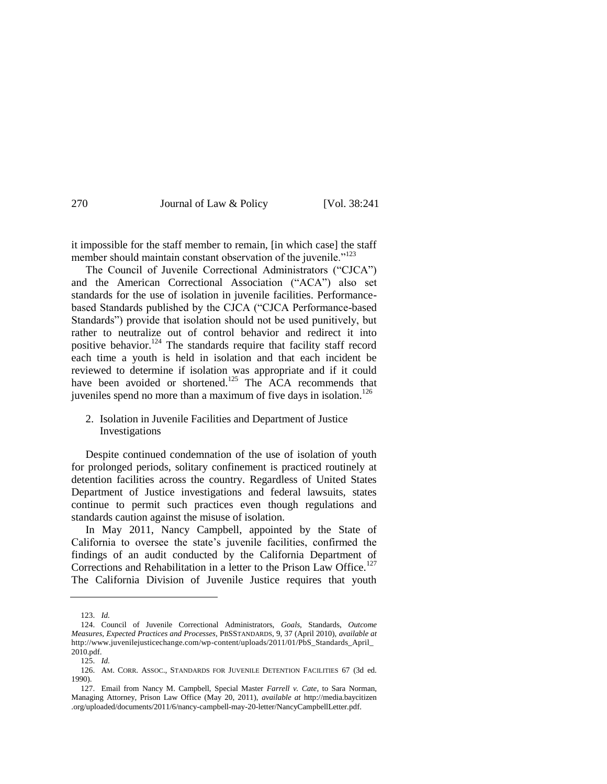it impossible for the staff member to remain, [in which case] the staff member should maintain constant observation of the juvenile.<sup> $123$ </sup>

The Council of Juvenile Correctional Administrators ("CJCA") and the American Correctional Association ("ACA") also set standards for the use of isolation in juvenile facilities. Performancebased Standards published by the CJCA ("CJCA Performance-based Standards") provide that isolation should not be used punitively, but rather to neutralize out of control behavior and redirect it into positive behavior.<sup>124</sup> The standards require that facility staff record each time a youth is held in isolation and that each incident be reviewed to determine if isolation was appropriate and if it could have been avoided or shortened.<sup>125</sup> The ACA recommends that juveniles spend no more than a maximum of five days in isolation.<sup>126</sup>

### 2. Isolation in Juvenile Facilities and Department of Justice Investigations

Despite continued condemnation of the use of isolation of youth for prolonged periods, solitary confinement is practiced routinely at detention facilities across the country. Regardless of United States Department of Justice investigations and federal lawsuits, states continue to permit such practices even though regulations and standards caution against the misuse of isolation.

In May 2011, Nancy Campbell, appointed by the State of California to oversee the state's juvenile facilities, confirmed the findings of an audit conducted by the California Department of Corrections and Rehabilitation in a letter to the Prison Law Office.<sup>127</sup> The California Division of Juvenile Justice requires that youth

<sup>123.</sup> *Id.*

<sup>124.</sup> Council of Juvenile Correctional Administrators, *Goals,* Standards, *Outcome Measures, Expected Practices and Processes*, PBSSTANDARDS, 9, 37 (April 2010), *available at* http://www.juvenilejusticechange.com/wp-content/uploads/2011/01/PbS\_Standards\_April\_ 2010.pdf.

<sup>125.</sup> *Id.*

<sup>126.</sup> AM. CORR. ASSOC., STANDARDS FOR JUVENILE DETENTION FACILITIES 67 (3d ed. 1990).

<sup>127.</sup> Email from Nancy M. Campbell, Special Master *Farrell v. Cate*, to Sara Norman, Managing Attorney, Prison Law Office (May 20, 2011), *available at* http://media.baycitizen .org/uploaded/documents/2011/6/nancy-campbell-may-20-letter/NancyCampbellLetter.pdf.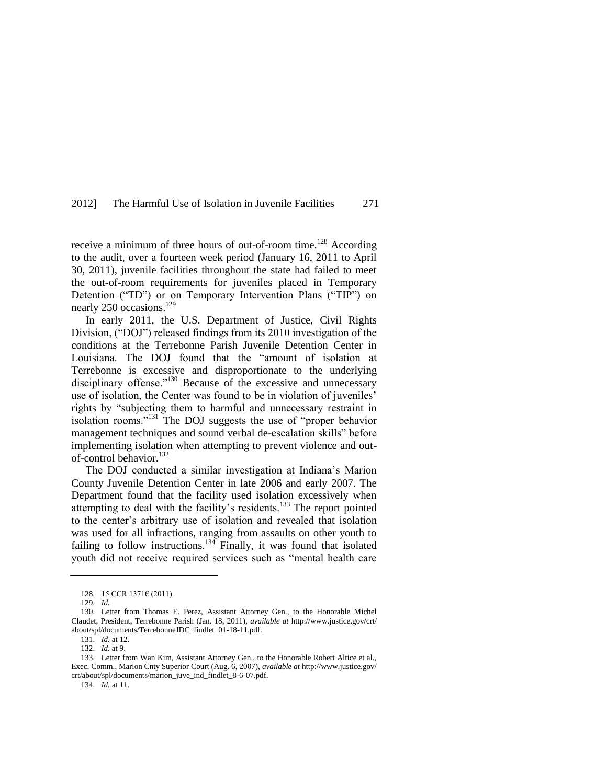receive a minimum of three hours of out-of-room time.<sup>128</sup> According to the audit, over a fourteen week period (January 16, 2011 to April 30, 2011), juvenile facilities throughout the state had failed to meet the out-of-room requirements for juveniles placed in Temporary Detention ("TD") or on Temporary Intervention Plans ("TIP") on nearly 250 occasions.<sup>129</sup>

In early 2011, the U.S. Department of Justice, Civil Rights Division, ("DOJ") released findings from its 2010 investigation of the conditions at the Terrebonne Parish Juvenile Detention Center in Louisiana. The DOJ found that the "amount of isolation at Terrebonne is excessive and disproportionate to the underlying disciplinary offense."<sup>130</sup> Because of the excessive and unnecessary use of isolation, the Center was found to be in violation of juveniles' rights by "subjecting them to harmful and unnecessary restraint in isolation rooms."<sup>131</sup> The DOJ suggests the use of "proper behavior management techniques and sound verbal de-escalation skills" before implementing isolation when attempting to prevent violence and outof-control behavior.<sup>132</sup>

The DOJ conducted a similar investigation at Indiana's Marion County Juvenile Detention Center in late 2006 and early 2007. The Department found that the facility used isolation excessively when attempting to deal with the facility's residents.<sup>133</sup> The report pointed to the center's arbitrary use of isolation and revealed that isolation was used for all infractions, ranging from assaults on other youth to failing to follow instructions.<sup>134</sup> Finally, it was found that isolated youth did not receive required services such as "mental health care

134. *Id.* at 11.

<sup>128.</sup> 15 CCR 1371€ (2011).

<sup>129.</sup> *Id.* 

<sup>130.</sup> Letter from Thomas E. Perez, Assistant Attorney Gen., to the Honorable Michel Claudet, President, Terrebonne Parish (Jan. 18, 2011), *available at* http://www.justice.gov/crt/ about/spl/documents/TerrebonneJDC\_findlet\_01-18-11.pdf.

<sup>131.</sup> *Id.* at 12.

<sup>132.</sup> *Id.* at 9.

<sup>133.</sup> Letter from Wan Kim, Assistant Attorney Gen., to the Honorable Robert Altice et al., Exec. Comm., Marion Cnty Superior Court (Aug. 6, 2007), *available at* http://www.justice.gov/ crt/about/spl/documents/marion\_juve\_ind\_findlet\_8-6-07.pdf.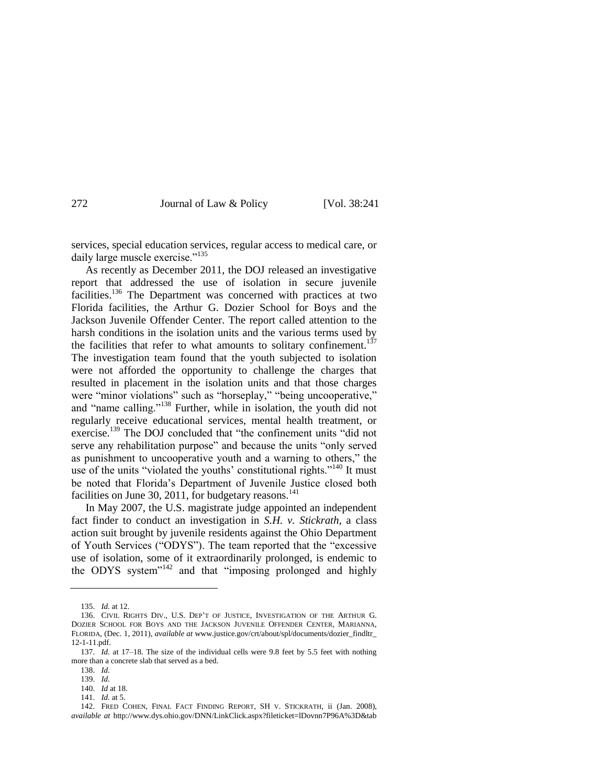services, special education services, regular access to medical care, or daily large muscle exercise."135

As recently as December 2011, the DOJ released an investigative report that addressed the use of isolation in secure juvenile facilities.<sup>136</sup> The Department was concerned with practices at two Florida facilities, the Arthur G. Dozier School for Boys and the Jackson Juvenile Offender Center. The report called attention to the harsh conditions in the isolation units and the various terms used by the facilities that refer to what amounts to solitary confinement.<sup>137</sup> The investigation team found that the youth subjected to isolation were not afforded the opportunity to challenge the charges that resulted in placement in the isolation units and that those charges were "minor violations" such as "horseplay," "being uncooperative," and "name calling."<sup>138</sup> Further, while in isolation, the youth did not regularly receive educational services, mental health treatment, or exercise.<sup>139</sup> The DOJ concluded that "the confinement units "did not serve any rehabilitation purpose" and because the units "only served as punishment to uncooperative youth and a warning to others," the use of the units "violated the youths' constitutional rights."<sup>140</sup> It must be noted that Florida's Department of Juvenile Justice closed both facilities on June 30, 2011, for budgetary reasons. $141$ 

In May 2007, the U.S. magistrate judge appointed an independent fact finder to conduct an investigation in *S.H. v. Stickrath*, a class action suit brought by juvenile residents against the Ohio Department of Youth Services ("ODYS"). The team reported that the "excessive" use of isolation, some of it extraordinarily prolonged, is endemic to the ODYS system $142$  and that "imposing prolonged and highly

<sup>135.</sup> *Id.* at 12.

<sup>136.</sup> CIVIL RIGHTS DIV., U.S. DEP'T OF JUSTICE, INVESTIGATION OF THE ARTHUR G. DOZIER SCHOOL FOR BOYS AND THE JACKSON JUVENILE OFFENDER CENTER, MARIANNA, FLORIDA, (Dec. 1, 2011), *available at* [www.justice.gov/crt/about/spl/documents/dozier\\_findltr\\_](http://www.justice.gov/crt/about/spl/documents/dozier_findltr_12-1-11.pdf) [12-1-11.pdf.](http://www.justice.gov/crt/about/spl/documents/dozier_findltr_12-1-11.pdf)

<sup>137.</sup> *Id.* at 17-18. The size of the individual cells were 9.8 feet by 5.5 feet with nothing more than a concrete slab that served as a bed.

<sup>138.</sup> *Id.*

<sup>139.</sup> *Id.*

<sup>140.</sup> *Id* at 18.

<sup>141.</sup> *Id.* at 5.

<sup>142.</sup> FRED COHEN, FINAL FACT FINDING REPORT, SH V. STICKRATH, ii (Jan. 2008), *available at* http://www.dys.ohio.gov/DNN/LinkClick.aspx?fileticket=lDovnn7P96A%3D&tab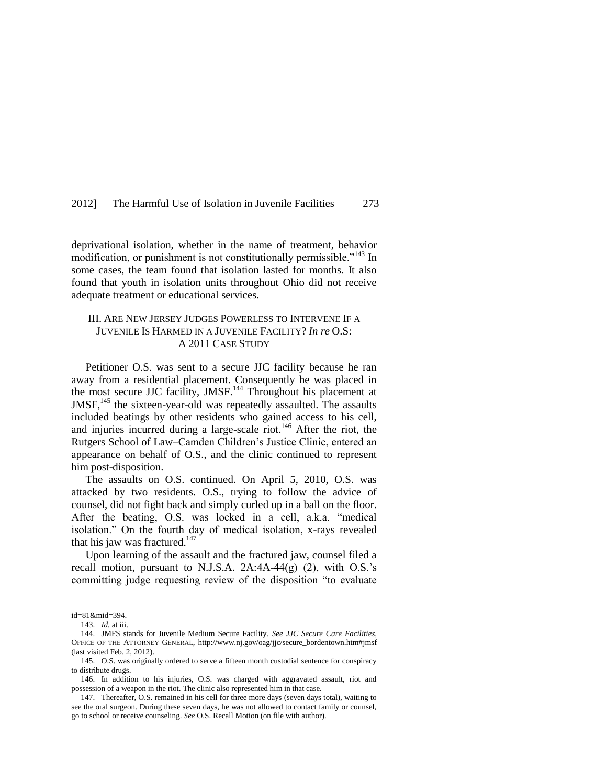deprivational isolation, whether in the name of treatment, behavior modification, or punishment is not constitutionally permissible.<sup> $143$ </sup> In some cases, the team found that isolation lasted for months. It also found that youth in isolation units throughout Ohio did not receive adequate treatment or educational services.

### III. ARE NEW JERSEY JUDGES POWERLESS TO INTERVENE IF A JUVENILE IS HARMED IN A JUVENILE FACILITY? *In re* O.S: A 2011 CASE STUDY

Petitioner O.S. was sent to a secure JJC facility because he ran away from a residential placement. Consequently he was placed in the most secure JJC facility, JMSF.<sup>144</sup> Throughout his placement at JMSF,<sup>145</sup> the sixteen-year-old was repeatedly assaulted. The assaults included beatings by other residents who gained access to his cell, and injuries incurred during a large-scale riot.<sup>146</sup> After the riot, the Rutgers School of Law–Camden Children's Justice Clinic, entered an appearance on behalf of O.S., and the clinic continued to represent him post-disposition.

The assaults on O.S. continued. On April 5, 2010, O.S. was attacked by two residents. O.S., trying to follow the advice of counsel, did not fight back and simply curled up in a ball on the floor. After the beating, O.S. was locked in a cell, a.k.a. "medical isolation." On the fourth day of medical isolation, x-rays revealed that his jaw was fractured. $147$ 

Upon learning of the assault and the fractured jaw, counsel filed a recall motion, pursuant to N.J.S.A. 2A:4A-44(g) (2), with O.S.'s committing judge requesting review of the disposition "to evaluate"

id=81&mid=394.

<sup>143.</sup> *Id.* at iii.

<sup>144.</sup> JMFS stands for Juvenile Medium Secure Facility. *See JJC Secure Care Facilities*, OFFICE OF THE ATTORNEY GENERAL, [http://www.nj.gov/oag/jjc/secure\\_bordentown.htm#jmsf](http://www.nj.gov/oag/jjc/secure_bordentown.htm#jmsf) (last visited Feb. 2, 2012).

<sup>145.</sup> O.S. was originally ordered to serve a fifteen month custodial sentence for conspiracy to distribute drugs.

<sup>146.</sup> In addition to his injuries, O.S. was charged with aggravated assault, riot and possession of a weapon in the riot. The clinic also represented him in that case.

<sup>147.</sup> Thereafter, O.S. remained in his cell for three more days (seven days total), waiting to see the oral surgeon. During these seven days, he was not allowed to contact family or counsel, go to school or receive counseling. *See* O.S. Recall Motion (on file with author).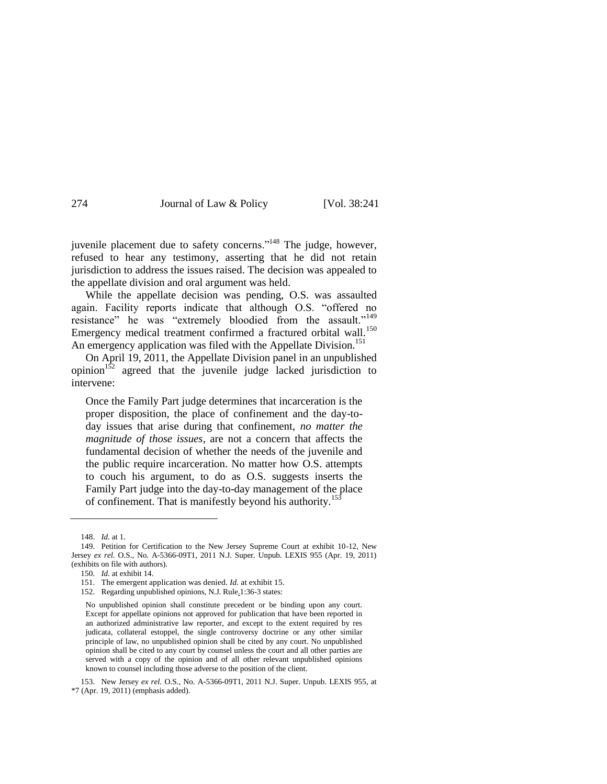juvenile placement due to safety concerns."<sup>148</sup> The judge, however, refused to hear any testimony, asserting that he did not retain jurisdiction to address the issues raised. The decision was appealed to the appellate division and oral argument was held.

While the appellate decision was pending, O.S. was assaulted again. Facility reports indicate that although O.S. "offered no resistance" he was "extremely bloodied from the assault."<sup>149</sup> Emergency medical treatment confirmed a fractured orbital wall.<sup>150</sup> An emergency application was filed with the Appellate Division.<sup>151</sup>

On April 19, 2011, the Appellate Division panel in an unpublished opinion $152$  agreed that the juvenile judge lacked jurisdiction to intervene:

Once the Family Part judge determines that incarceration is the proper disposition, the place of confinement and the day-today issues that arise during that confinement, *no matter the magnitude of those issues*, are not a concern that affects the fundamental decision of whether the needs of the juvenile and the public require incarceration. No matter how O.S. attempts to couch his argument, to do as O.S. suggests inserts the Family Part judge into the day-to-day management of the place of confinement. That is manifestly beyond his authority.<sup>153</sup>

<sup>148.</sup> *Id.* at 1.

<sup>149.</sup> Petition for Certification to the New Jersey Supreme Court at exhibit 10-12, [New](http://www.lexis.com/research/buttonTFLink?_session=19ec04e0-3566-11e1-8cd9-f5b6dc85a543.1.1.84763.+.1.0&wchp=dGLbVzV-zSkAl&_b=0_1264507416&_xfercite=%3ccite%20cc%3d%22USA%22%3e%3c%21%5BCDATA%5B2011%20N.J.%20Super.%20Unpub.%20LEXIS%20955%5D%5D%3e%3c%2fcite%3e&_lexsee=SHMID&_lnlni=&_butType=3&_butStat=254&_butNum=4&_butinfo=%3ccite%20cc%3d%22USA%22%3e%3c%21%5BCDATA%5B2011%20N.J.%20Super.%20Unpub.%20LEXIS%20955%5D%5D%3e%3c%2fcite%3e&prevCase=State%20ex%20rel.%20O.S.&prevCite=2011%20N.J.%20Super.%20Unpub.%20LEXIS%20955&_md5=34C3D8DE9658D674BA76C28442EDDD34)  Jersey *[ex rel.](http://www.lexis.com/research/buttonTFLink?_session=19ec04e0-3566-11e1-8cd9-f5b6dc85a543.1.1.84763.+.1.0&wchp=dGLbVzV-zSkAl&_b=0_1264507416&_xfercite=%3ccite%20cc%3d%22USA%22%3e%3c%21%5BCDATA%5B2011%20N.J.%20Super.%20Unpub.%20LEXIS%20955%5D%5D%3e%3c%2fcite%3e&_lexsee=SHMID&_lnlni=&_butType=3&_butStat=254&_butNum=4&_butinfo=%3ccite%20cc%3d%22USA%22%3e%3c%21%5BCDATA%5B2011%20N.J.%20Super.%20Unpub.%20LEXIS%20955%5D%5D%3e%3c%2fcite%3e&prevCase=State%20ex%20rel.%20O.S.&prevCite=2011%20N.J.%20Super.%20Unpub.%20LEXIS%20955&_md5=34C3D8DE9658D674BA76C28442EDDD34)* O.S., No. A-5366-09T1, 2011 N.J. Super. Unpub. LEXIS 955 (Apr. 19, 2011) (exhibits on file with authors).

<sup>150.</sup> *Id.* at exhibit 14.

<sup>151.</sup> The emergent application was denied. *Id.* at exhibit 15.

<sup>152.</sup> Regarding unpublished opinions, N.J. Rule.1:36-3 states:

No unpublished opinion shall constitute precedent or be binding upon any court. Except for appellate opinions not approved for publication that have been reported in an authorized administrative law reporter, and except to the extent required by res judicata, collateral estoppel, the single controversy doctrine or any other similar principle of law, no unpublished opinion shall be cited by any court. No unpublished opinion shall be cited to any court by counsel unless the court and all other parties are served with a copy of the opinion and of all other relevant unpublished opinions known to counsel including those adverse to the position of the client.

<sup>153.</sup> New Jersey *[ex rel.](http://www.lexis.com/research/buttonTFLink?_session=19ec04e0-3566-11e1-8cd9-f5b6dc85a543.1.1.84763.+.1.0&wchp=dGLbVzV-zSkAl&_b=0_1264507416&_xfercite=%3ccite%20cc%3d%22USA%22%3e%3c%21%5BCDATA%5B2011%20N.J.%20Super.%20Unpub.%20LEXIS%20955%5D%5D%3e%3c%2fcite%3e&_lexsee=SHMID&_lnlni=&_butType=3&_butStat=254&_butNum=4&_butinfo=%3ccite%20cc%3d%22USA%22%3e%3c%21%5BCDATA%5B2011%20N.J.%20Super.%20Unpub.%20LEXIS%20955%5D%5D%3e%3c%2fcite%3e&prevCase=State%20ex%20rel.%20O.S.&prevCite=2011%20N.J.%20Super.%20Unpub.%20LEXIS%20955&_md5=34C3D8DE9658D674BA76C28442EDDD34)* O.S., No. A-5366-09T1, 2011 N.J. Super. Unpub. LEXIS 955, at \*7 (Apr. 19, 2011) (emphasis added).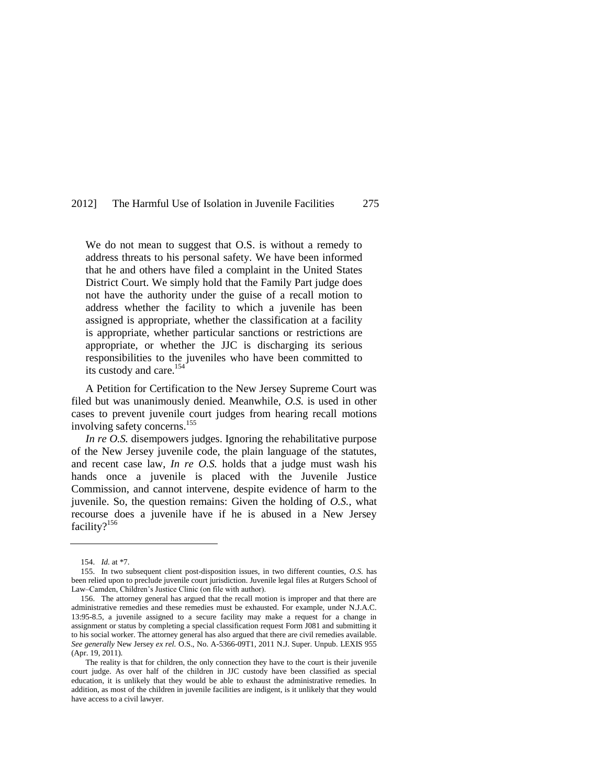We do not mean to suggest that O.S. is without a remedy to address threats to his personal safety. We have been informed that he and others have filed a complaint in the United States District Court. We simply hold that the Family Part judge does not have the authority under the guise of a recall motion to address whether the facility to which a juvenile has been assigned is appropriate, whether the classification at a facility is appropriate, whether particular sanctions or restrictions are appropriate, or whether the JJC is discharging its serious responsibilities to the juveniles who have been committed to its custody and care.<sup>154</sup>

A Petition for Certification to the New Jersey Supreme Court was filed but was unanimously denied. Meanwhile, *O.S.* is used in other cases to prevent juvenile court judges from hearing recall motions involving safety concerns.<sup>155</sup>

*In re O.S.* disempowers judges. Ignoring the rehabilitative purpose of the New Jersey juvenile code, the plain language of the statutes, and recent case law, *In re O.S.* holds that a judge must wash his hands once a juvenile is placed with the Juvenile Justice Commission, and cannot intervene, despite evidence of harm to the juvenile. So, the question remains: Given the holding of *O.S.*, what recourse does a juvenile have if he is abused in a New Jersey facility?<sup>156</sup>

<sup>154.</sup> *Id.* at \*7.

<sup>155.</sup> In two subsequent client post-disposition issues, in two different counties, *O.S.* has been relied upon to preclude juvenile court jurisdiction. Juvenile legal files at Rutgers School of Law–Camden, Children's Justice Clinic (on file with author).

<sup>156.</sup> The attorney general has argued that the recall motion is improper and that there are administrative remedies and these remedies must be exhausted. For example, under N.J.A.C. 13:95-8.5, a juvenile assigned to a secure facility may make a request for a change in assignment or status by completing a special classification request Form J081 and submitting it to his social worker. The attorney general has also argued that there are civil remedies available. *See generally* New Jersey *[ex rel.](http://www.lexis.com/research/buttonTFLink?_session=19ec04e0-3566-11e1-8cd9-f5b6dc85a543.1.1.84763.+.1.0&wchp=dGLbVzV-zSkAl&_b=0_1264507416&_xfercite=%3ccite%20cc%3d%22USA%22%3e%3c%21%5BCDATA%5B2011%20N.J.%20Super.%20Unpub.%20LEXIS%20955%5D%5D%3e%3c%2fcite%3e&_lexsee=SHMID&_lnlni=&_butType=3&_butStat=254&_butNum=4&_butinfo=%3ccite%20cc%3d%22USA%22%3e%3c%21%5BCDATA%5B2011%20N.J.%20Super.%20Unpub.%20LEXIS%20955%5D%5D%3e%3c%2fcite%3e&prevCase=State%20ex%20rel.%20O.S.&prevCite=2011%20N.J.%20Super.%20Unpub.%20LEXIS%20955&_md5=34C3D8DE9658D674BA76C28442EDDD34)* O.S., No. A-5366-09T1, 2011 N.J. Super. Unpub. LEXIS 955 (Apr. 19, 2011).

The reality is that for children, the only connection they have to the court is their juvenile court judge. As over half of the children in JJC custody have been classified as special education, it is unlikely that they would be able to exhaust the administrative remedies. In addition, as most of the children in juvenile facilities are indigent, is it unlikely that they would have access to a civil lawyer.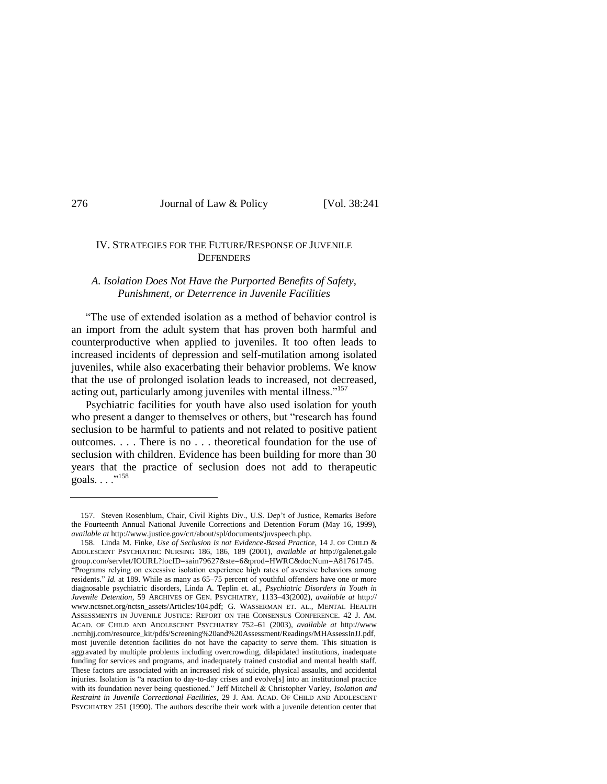### IV. STRATEGIES FOR THE FUTURE/RESPONSE OF JUVENILE **DEFENDERS**

### *A. Isolation Does Not Have the Purported Benefits of Safety, Punishment, or Deterrence in Juvenile Facilities*

―The use of extended isolation as a method of behavior control is an import from the adult system that has proven both harmful and counterproductive when applied to juveniles. It too often leads to increased incidents of depression and self-mutilation among isolated juveniles, while also exacerbating their behavior problems. We know that the use of prolonged isolation leads to increased, not decreased, acting out, particularly among juveniles with mental illness."<sup>157</sup>

Psychiatric facilities for youth have also used isolation for youth who present a danger to themselves or others, but "research has found seclusion to be harmful to patients and not related to positive patient outcomes. . . . There is no . . . theoretical foundation for the use of seclusion with children. Evidence has been building for more than 30 years that the practice of seclusion does not add to therapeutic goals.  $\ldots$ <sup>"158</sup>

<sup>157.</sup> Steven Rosenblum, Chair, Civil Rights Div., U.S. Dep't of Justice, Remarks Before the Fourteenth Annual National Juvenile Corrections and Detention Forum (May 16, 1999), *available at* http://www.justice.gov/crt/about/spl/documents/juvspeech.php.

<sup>158.</sup> Linda M. Finke, *Use of Seclusion is not Evidence-Based Practice*, 14 J. OF CHILD & ADOLESCENT PSYCHIATRIC NURSING 186, 186, 189 (2001), *available at* http://galenet.gale group.com/servlet/IOURL?locID=sain79627&ste=6&prod=HWRC&docNum=A81761745. ―Programs relying on excessive isolation experience high rates of aversive behaviors among residents." *Id.* at 189. While as many as 65–75 percent of youthful offenders have one or more diagnosable psychiatric disorders, Linda A. Teplin et. al., *Psychiatric Disorders in Youth in Juvenile Detention*, 59 ARCHIVES OF GEN. PSYCHIATRY, 1133–43(2002), *available at* [http://](http://www.nctsnet.org/nctsn_assets/Articles/104.pdf) [www.nctsnet.org/nctsn\\_assets/Articles/104.pdf;](http://www.nctsnet.org/nctsn_assets/Articles/104.pdf) G. WASSERMAN ET. AL., MENTAL HEALTH ASSESSMENTS IN JUVENILE JUSTICE: REPORT ON THE CONSENSUS CONFERENCE. 42 J. AM. ACAD. OF CHILD AND ADOLESCENT PSYCHIATRY 752–61 (2003), *available at* http://www .ncmhjj.com/resource\_kit/pdfs/Screening%20and%20Assessment/Readings/MHAssessInJJ.pdf, most juvenile detention facilities do not have the capacity to serve them. This situation is aggravated by multiple problems including overcrowding, dilapidated institutions, inadequate funding for services and programs, and inadequately trained custodial and mental health staff. These factors are associated with an increased risk of suicide, physical assaults, and accidental injuries. Isolation is "a reaction to day-to-day crises and evolve[s] into an institutional practice with its foundation never being questioned." Jeff Mitchell & Christopher Varley, *Isolation and Restraint in Juvenile Correctional Facilities*, 29 J. AM. ACAD. OF CHILD AND ADOLESCENT PSYCHIATRY 251 (1990). The authors describe their work with a juvenile detention center that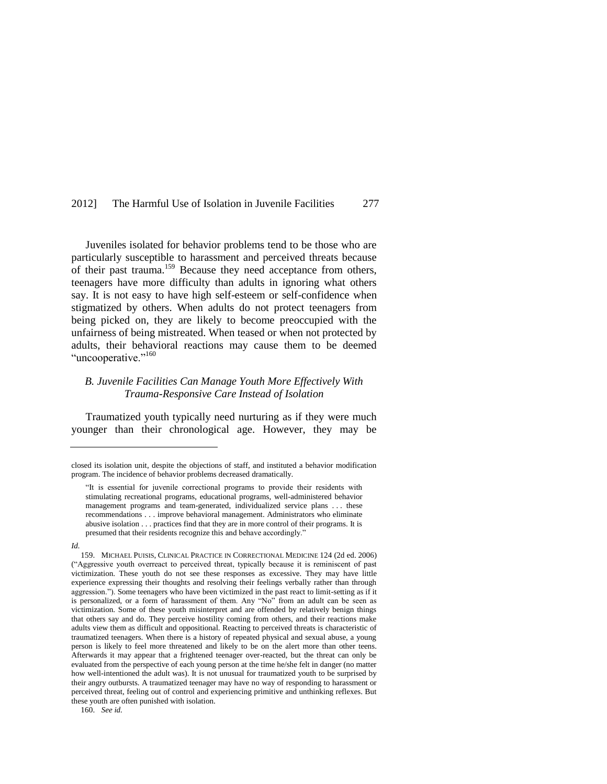Juveniles isolated for behavior problems tend to be those who are particularly susceptible to harassment and perceived threats because of their past trauma.<sup>159</sup> Because they need acceptance from others, teenagers have more difficulty than adults in ignoring what others say. It is not easy to have high self-esteem or self-confidence when stigmatized by others. When adults do not protect teenagers from being picked on, they are likely to become preoccupied with the unfairness of being mistreated. When teased or when not protected by adults, their behavioral reactions may cause them to be deemed "uncooperative."<sup>160</sup>

### *B. Juvenile Facilities Can Manage Youth More Effectively With Trauma-Responsive Care Instead of Isolation*

Traumatized youth typically need nurturing as if they were much younger than their chronological age. However, they may be

closed its isolation unit, despite the objections of staff, and instituted a behavior modification program. The incidence of behavior problems decreased dramatically.

<sup>―</sup>It is essential for juvenile correctional programs to provide their residents with stimulating recreational programs, educational programs, well-administered behavior management programs and team-generated, individualized service plans . . . these recommendations . . . improve behavioral management. Administrators who eliminate abusive isolation . . . practices find that they are in more control of their programs. It is presumed that their residents recognize this and behave accordingly."

*Id.*

<sup>159.</sup> MICHAEL PUISIS, CLINICAL PRACTICE IN CORRECTIONAL MEDICINE 124 (2d ed. 2006) (―Aggressive youth overreact to perceived threat, typically because it is reminiscent of past victimization. These youth do not see these responses as excessive. They may have little experience expressing their thoughts and resolving their feelings verbally rather than through aggression."). Some teenagers who have been victimized in the past react to limit-setting as if it is personalized, or a form of harassment of them. Any "No" from an adult can be seen as victimization. Some of these youth misinterpret and are offended by relatively benign things that others say and do. They perceive hostility coming from others, and their reactions make adults view them as difficult and oppositional. Reacting to perceived threats is characteristic of traumatized teenagers. When there is a history of repeated physical and sexual abuse, a young person is likely to feel more threatened and likely to be on the alert more than other teens. Afterwards it may appear that a frightened teenager over-reacted, but the threat can only be evaluated from the perspective of each young person at the time he/she felt in danger (no matter how well-intentioned the adult was). It is not unusual for traumatized youth to be surprised by their angry outbursts. A traumatized teenager may have no way of responding to harassment or perceived threat, feeling out of control and experiencing primitive and unthinking reflexes. But these youth are often punished with isolation.

<sup>160.</sup> *See id.*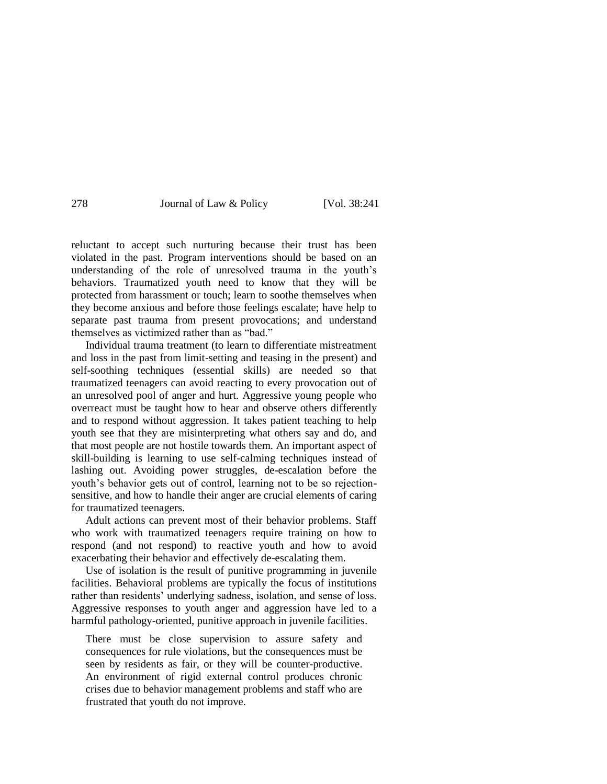reluctant to accept such nurturing because their trust has been violated in the past. Program interventions should be based on an understanding of the role of unresolved trauma in the youth's behaviors. Traumatized youth need to know that they will be protected from harassment or touch; learn to soothe themselves when they become anxious and before those feelings escalate; have help to separate past trauma from present provocations; and understand themselves as victimized rather than as "bad."

Individual trauma treatment (to learn to differentiate mistreatment and loss in the past from limit-setting and teasing in the present) and self-soothing techniques (essential skills) are needed so that traumatized teenagers can avoid reacting to every provocation out of an unresolved pool of anger and hurt. Aggressive young people who overreact must be taught how to hear and observe others differently and to respond without aggression. It takes patient teaching to help youth see that they are misinterpreting what others say and do, and that most people are not hostile towards them. An important aspect of skill-building is learning to use self-calming techniques instead of lashing out. Avoiding power struggles, de-escalation before the youth's behavior gets out of control, learning not to be so rejectionsensitive, and how to handle their anger are crucial elements of caring for traumatized teenagers.

Adult actions can prevent most of their behavior problems. Staff who work with traumatized teenagers require training on how to respond (and not respond) to reactive youth and how to avoid exacerbating their behavior and effectively de-escalating them.

Use of isolation is the result of punitive programming in juvenile facilities. Behavioral problems are typically the focus of institutions rather than residents' underlying sadness, isolation, and sense of loss. Aggressive responses to youth anger and aggression have led to a harmful pathology-oriented, punitive approach in juvenile facilities.

There must be close supervision to assure safety and consequences for rule violations, but the consequences must be seen by residents as fair, or they will be counter-productive. An environment of rigid external control produces chronic crises due to behavior management problems and staff who are frustrated that youth do not improve.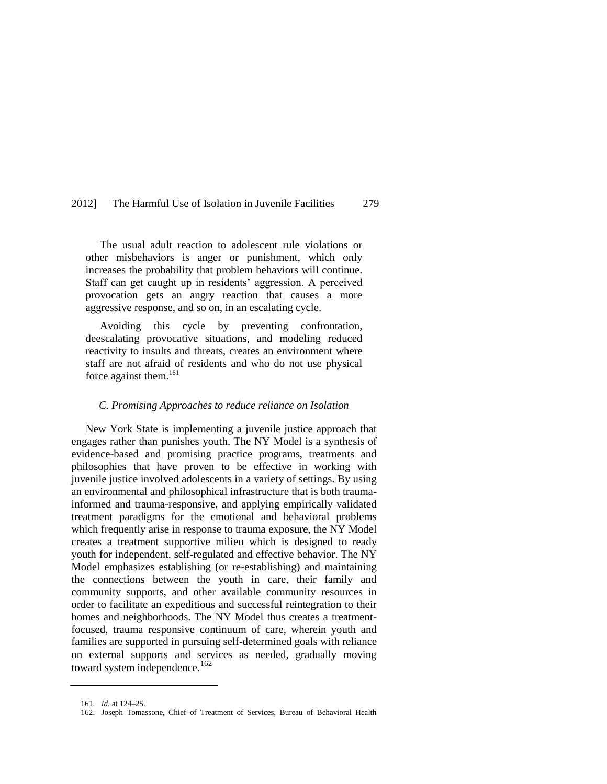The usual adult reaction to adolescent rule violations or other misbehaviors is anger or punishment, which only increases the probability that problem behaviors will continue. Staff can get caught up in residents' aggression. A perceived provocation gets an angry reaction that causes a more aggressive response, and so on, in an escalating cycle.

Avoiding this cycle by preventing confrontation, deescalating provocative situations, and modeling reduced reactivity to insults and threats, creates an environment where staff are not afraid of residents and who do not use physical force against them.<sup>161</sup>

### *C. Promising Approaches to reduce reliance on Isolation*

New York State is implementing a juvenile justice approach that engages rather than punishes youth. The NY Model is a synthesis of evidence-based and promising practice programs, treatments and philosophies that have proven to be effective in working with juvenile justice involved adolescents in a variety of settings. By using an environmental and philosophical infrastructure that is both traumainformed and trauma-responsive, and applying empirically validated treatment paradigms for the emotional and behavioral problems which frequently arise in response to trauma exposure, the NY Model creates a treatment supportive milieu which is designed to ready youth for independent, self-regulated and effective behavior. The NY Model emphasizes establishing (or re-establishing) and maintaining the connections between the youth in care, their family and community supports, and other available community resources in order to facilitate an expeditious and successful reintegration to their homes and neighborhoods. The NY Model thus creates a treatmentfocused, trauma responsive continuum of care, wherein youth and families are supported in pursuing self-determined goals with reliance on external supports and services as needed, gradually moving toward system independence.<sup>162</sup>

<sup>161.</sup> *Id.* at 124–25.

<sup>162.</sup> Joseph Tomassone, Chief of Treatment of Services, Bureau of Behavioral Health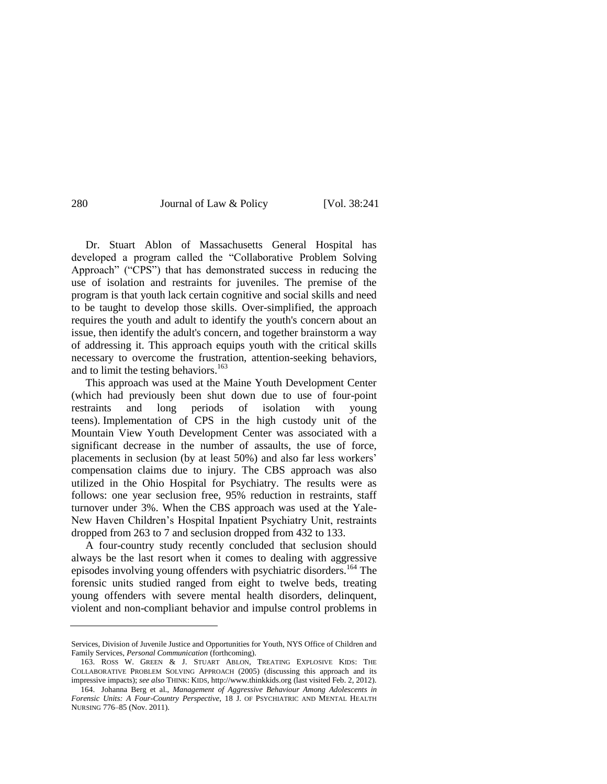Dr. Stuart Ablon of Massachusetts General Hospital has developed a program called the "Collaborative Problem Solving" Approach" ("CPS") that has demonstrated success in reducing the use of isolation and restraints for juveniles. The premise of the program is that youth lack certain cognitive and social skills and need to be taught to develop those skills. Over-simplified, the approach requires the youth and adult to identify the youth's concern about an issue, then identify the adult's concern, and together brainstorm a way of addressing it. This approach equips youth with the critical skills necessary to overcome the frustration, attention-seeking behaviors, and to limit the testing behaviors. $163$ 

This approach was used at the Maine Youth Development Center (which had previously been shut down due to use of four-point restraints and long periods of isolation with young teens). Implementation of CPS in the high custody unit of the Mountain View Youth Development Center was associated with a significant decrease in the number of assaults, the use of force, placements in seclusion (by at least 50%) and also far less workers' compensation claims due to injury. The CBS approach was also utilized in the Ohio Hospital for Psychiatry. The results were as follows: one year seclusion free, 95% reduction in restraints, staff turnover under 3%. When the CBS approach was used at the Yale-New Haven Children's Hospital Inpatient Psychiatry Unit, restraints dropped from 263 to 7 and seclusion dropped from 432 to 133.

A four-country study recently concluded that seclusion should always be the last resort when it comes to dealing with aggressive episodes involving young offenders with psychiatric disorders.<sup>164</sup> The forensic units studied ranged from eight to twelve beds, treating young offenders with severe mental health disorders, delinquent, violent and non-compliant behavior and impulse control problems in

Services, Division of Juvenile Justice and Opportunities for Youth, NYS Office of Children and Family Services, *Personal Communication* (forthcoming).

<sup>163.</sup> ROSS W. GREEN & J. STUART ABLON, TREATING EXPLOSIVE KIDS: THE COLLABORATIVE PROBLEM SOLVING APPROACH (2005) (discussing this approach and its impressive impacts); *see also* THINK: KIDS, http://www.thinkkids.org (last visited Feb. 2, 2012).

<sup>164.</sup> Johanna Berg et al., *Management of Aggressive Behaviour Among Adolescents in Forensic Units: A Four-Country Perspective*, 18 J. OF PSYCHIATRIC AND MENTAL HEALTH NURSING 776–85 (Nov. 2011).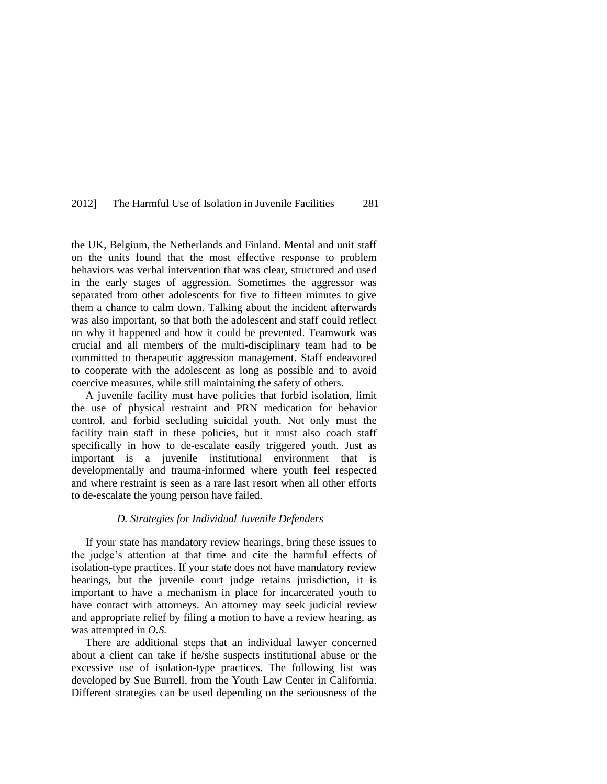the UK, Belgium, the Netherlands and Finland. Mental and unit staff on the units found that the most effective response to problem behaviors was verbal intervention that was clear, structured and used in the early stages of aggression. Sometimes the aggressor was separated from other adolescents for five to fifteen minutes to give them a chance to calm down. Talking about the incident afterwards was also important, so that both the adolescent and staff could reflect on why it happened and how it could be prevented. Teamwork was crucial and all members of the multi-disciplinary team had to be committed to therapeutic aggression management. Staff endeavored to cooperate with the adolescent as long as possible and to avoid coercive measures, while still maintaining the safety of others.

A juvenile facility must have policies that forbid isolation, limit the use of physical restraint and PRN medication for behavior control, and forbid secluding suicidal youth. Not only must the facility train staff in these policies, but it must also coach staff specifically in how to de-escalate easily triggered youth. Just as important is a juvenile institutional environment that is developmentally and trauma-informed where youth feel respected and where restraint is seen as a rare last resort when all other efforts to de-escalate the young person have failed.

#### *D. Strategies for Individual Juvenile Defenders*

If your state has mandatory review hearings, bring these issues to the judge's attention at that time and cite the harmful effects of isolation-type practices. If your state does not have mandatory review hearings, but the juvenile court judge retains jurisdiction, it is important to have a mechanism in place for incarcerated youth to have contact with attorneys. An attorney may seek judicial review and appropriate relief by filing a motion to have a review hearing, as was attempted in *O.S.*

There are additional steps that an individual lawyer concerned about a client can take if he/she suspects institutional abuse or the excessive use of isolation-type practices. The following list was developed by Sue Burrell, from the Youth Law Center in California. Different strategies can be used depending on the seriousness of the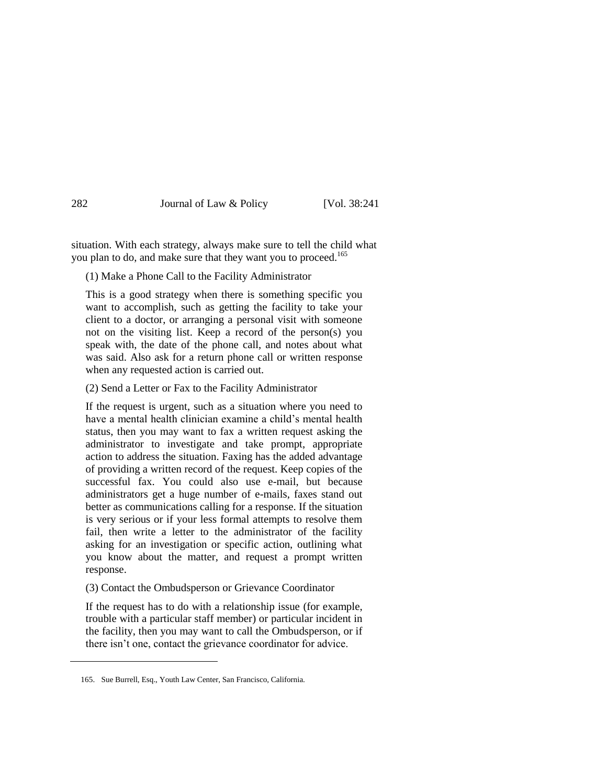situation. With each strategy, always make sure to tell the child what you plan to do, and make sure that they want you to proceed.<sup>165</sup>

(1) Make a Phone Call to the Facility Administrator

This is a good strategy when there is something specific you want to accomplish, such as getting the facility to take your client to a doctor, or arranging a personal visit with someone not on the visiting list. Keep a record of the person(s) you speak with, the date of the phone call, and notes about what was said. Also ask for a return phone call or written response when any requested action is carried out.

(2) Send a Letter or Fax to the Facility Administrator

If the request is urgent, such as a situation where you need to have a mental health clinician examine a child's mental health status, then you may want to fax a written request asking the administrator to investigate and take prompt, appropriate action to address the situation. Faxing has the added advantage of providing a written record of the request. Keep copies of the successful fax. You could also use e-mail, but because administrators get a huge number of e-mails, faxes stand out better as communications calling for a response. If the situation is very serious or if your less formal attempts to resolve them fail, then write a letter to the administrator of the facility asking for an investigation or specific action, outlining what you know about the matter, and request a prompt written response.

### (3) Contact the Ombudsperson or Grievance Coordinator

If the request has to do with a relationship issue (for example, trouble with a particular staff member) or particular incident in the facility, then you may want to call the Ombudsperson, or if there isn't one, contact the grievance coordinator for advice.

<sup>165.</sup> Sue Burrell, Esq., Youth Law Center, San Francisco, California.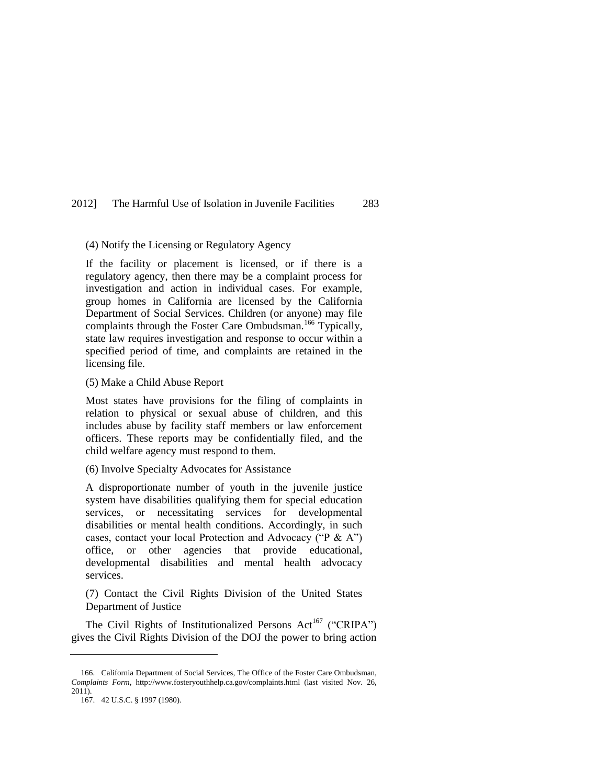#### (4) Notify the Licensing or Regulatory Agency

If the facility or placement is licensed, or if there is a regulatory agency, then there may be a complaint process for investigation and action in individual cases. For example, group homes in California are licensed by the California Department of Social Services. Children (or anyone) may file complaints through the Foster Care Ombudsman.<sup>166</sup> Typically, state law requires investigation and response to occur within a specified period of time, and complaints are retained in the licensing file.

#### (5) Make a Child Abuse Report

Most states have provisions for the filing of complaints in relation to physical or sexual abuse of children, and this includes abuse by facility staff members or law enforcement officers. These reports may be confidentially filed, and the child welfare agency must respond to them.

#### (6) Involve Specialty Advocates for Assistance

A disproportionate number of youth in the juvenile justice system have disabilities qualifying them for special education services, or necessitating services for developmental disabilities or mental health conditions. Accordingly, in such cases, contact your local Protection and Advocacy ( $P \& A$ <sup>")</sup> office, or other agencies that provide educational, developmental disabilities and mental health advocacy services.

(7) Contact the Civil Rights Division of the United States Department of Justice

The Civil Rights of Institutionalized Persons Act<sup>167</sup> ("CRIPA") gives the Civil Rights Division of the DOJ the power to bring action

<sup>166.</sup> California Department of Social Services, The Office of the Foster Care Ombudsman, *Complaints Form*, http://www.fosteryouthhelp.ca.gov/complaints.html (last visited Nov. 26, 2011).

<sup>167.</sup> 42 U.S.C. § 1997 (1980).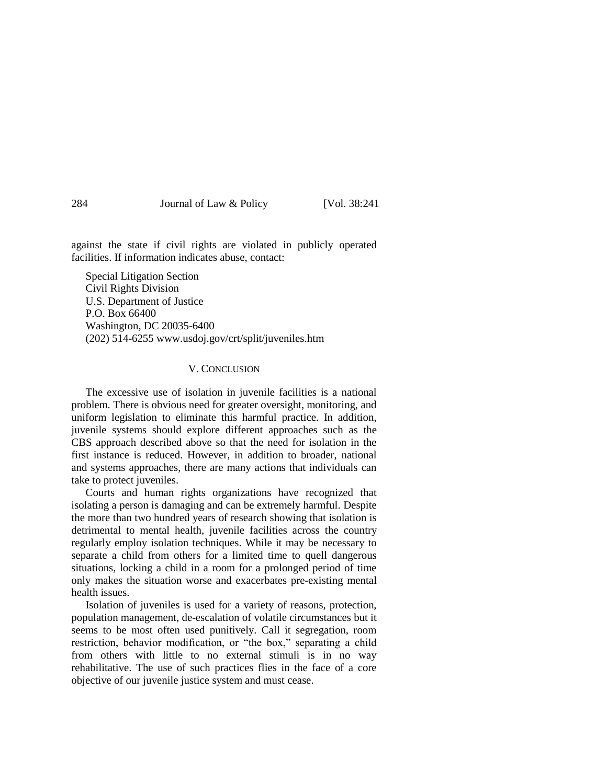against the state if civil rights are violated in publicly operated facilities. If information indicates abuse, contact:

Special Litigation Section Civil Rights Division U.S. Department of Justice P.O. Box 66400 Washington, DC 20035-6400 (202) 514-6255 www.usdoj.gov/crt/split/juveniles.htm

#### V. CONCLUSION

The excessive use of isolation in juvenile facilities is a national problem. There is obvious need for greater oversight, monitoring, and uniform legislation to eliminate this harmful practice. In addition, juvenile systems should explore different approaches such as the CBS approach described above so that the need for isolation in the first instance is reduced. However, in addition to broader, national and systems approaches, there are many actions that individuals can take to protect juveniles.

Courts and human rights organizations have recognized that isolating a person is damaging and can be extremely harmful. Despite the more than two hundred years of research showing that isolation is detrimental to mental health, juvenile facilities across the country regularly employ isolation techniques. While it may be necessary to separate a child from others for a limited time to quell dangerous situations, locking a child in a room for a prolonged period of time only makes the situation worse and exacerbates pre-existing mental health issues.

Isolation of juveniles is used for a variety of reasons, protection, population management, de-escalation of volatile circumstances but it seems to be most often used punitively. Call it segregation, room restriction, behavior modification, or "the box," separating a child from others with little to no external stimuli is in no way rehabilitative. The use of such practices flies in the face of a core objective of our juvenile justice system and must cease.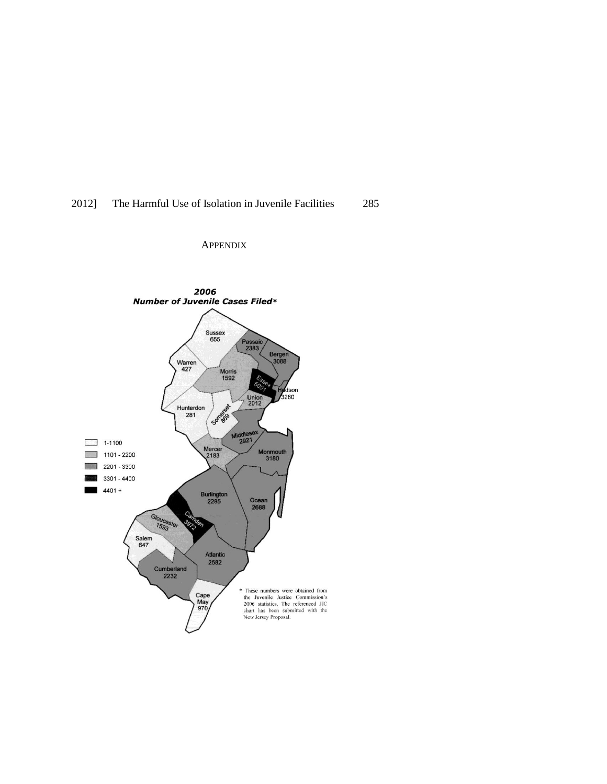### APPENDIX

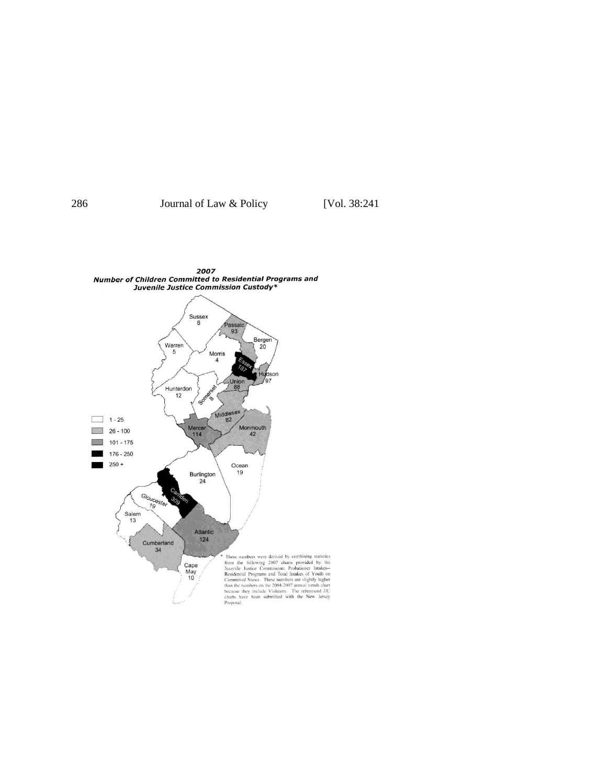